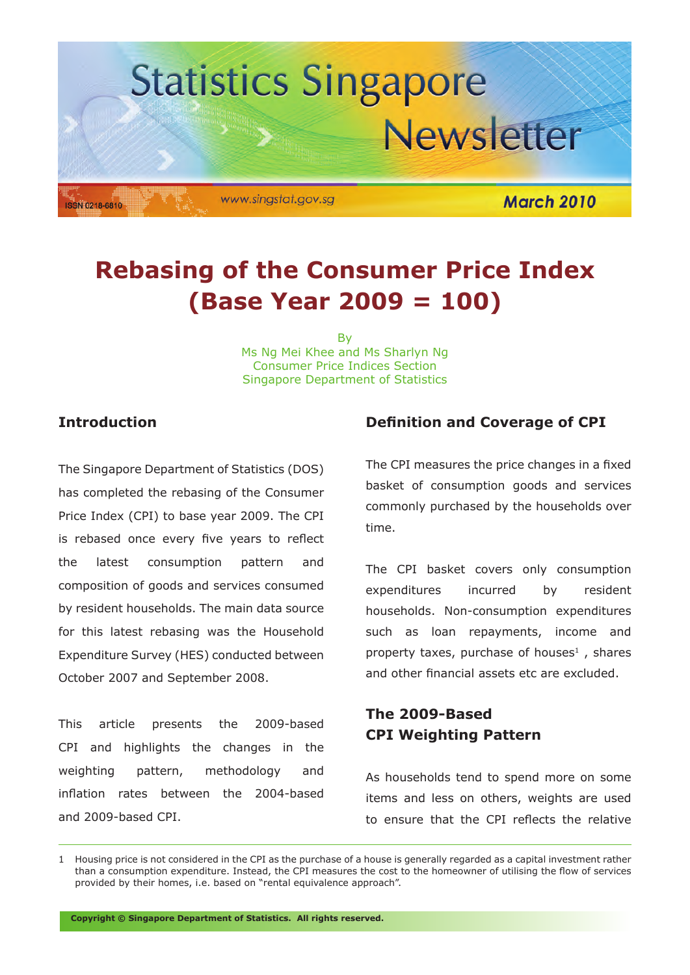

# **Rebasing of the Consumer Price Index (Base Year 2009 = 100)**

**B** Ms Ng Mei Khee and Ms Sharlyn Ng Consumer Price Indices Section Singapore Department of Statistics

# **Introduction**

The Singapore Department of Statistics (DOS) has completed the rebasing of the Consumer Price Index (CPI) to base year 2009. The CPI is rebased once every five years to reflect the latest consumption pattern and composition of goods and services consumed by resident households. The main data source for this latest rebasing was the Household Expenditure Survey (HES) conducted between October 2007 and September 2008.

This article presents the 2009-based CPI and highlights the changes in the weighting pattern, methodology and inflation rates between the 2004-based and 2009-based CPI.

# **Definition and Coverage of CPI**

The CPI measures the price changes in a fixed basket of consumption goods and services commonly purchased by the households over time.

The CPI basket covers only consumption expenditures incurred by resident households. Non-consumption expenditures such as loan repayments, income and property taxes, purchase of houses $<sup>1</sup>$ , shares</sup> and other financial assets etc are excluded.

# **The 2009-Based CPI Weighting Pattern**

As households tend to spend more on some items and less on others, weights are used to ensure that the CPI reflects the relative

**Copyright © Singapore Department of Statistics. All rights reserved.**

<sup>1</sup> Housing price is not considered in the CPI as the purchase of a house is generally regarded as a capital investment rather than a consumption expenditure. Instead, the CPI measures the cost to the homeowner of utilising the flow of services provided by their homes, i.e. based on "rental equivalence approach".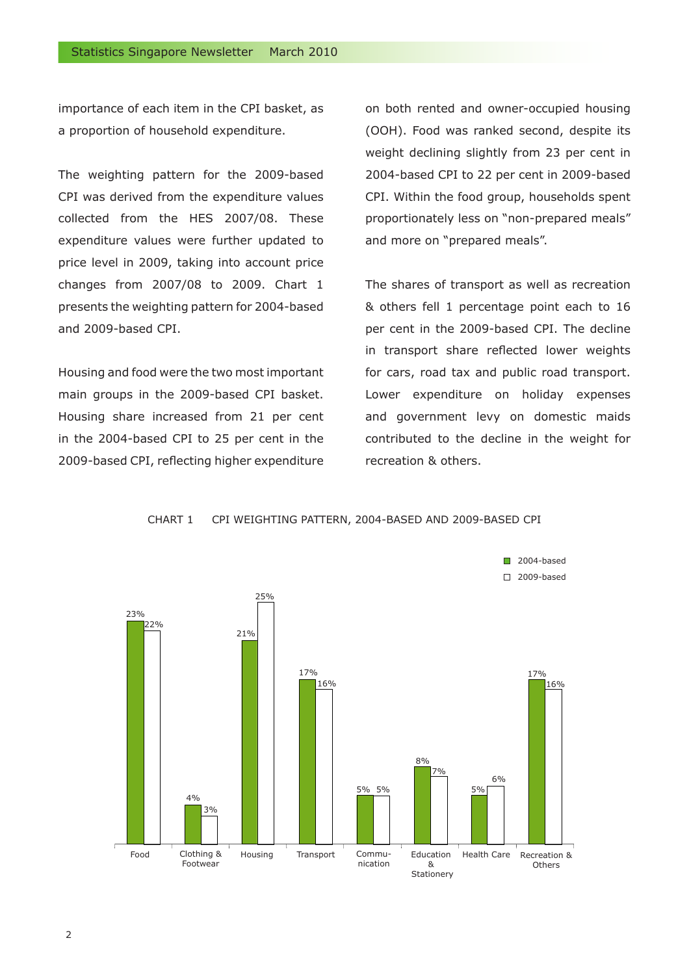importance of each item in the CPI basket, as a proportion of household expenditure.

The weighting pattern for the 2009-based CPI was derived from the expenditure values collected from the HES 2007/08. These expenditure values were further updated to price level in 2009, taking into account price changes from 2007/08 to 2009. Chart 1 presents the weighting pattern for 2004-based and 2009-based CPI.

Housing and food were the two most important main groups in the 2009-based CPI basket. Housing share increased from 21 per cent in the 2004-based CPI to 25 per cent in the 2009-based CPI, reflecting higher expenditure

on both rented and owner-occupied housing (OOH). Food was ranked second, despite its weight declining slightly from 23 per cent in 2004-based CPI to 22 per cent in 2009-based CPI. Within the food group, households spent proportionately less on "non-prepared meals" and more on "prepared meals".

The shares of transport as well as recreation & others fell 1 percentage point each to 16 per cent in the 2009-based CPI. The decline in transport share reflected lower weights for cars, road tax and public road transport. Lower expenditure on holiday expenses and government levy on domestic maids contributed to the decline in the weight for recreation & others.

CHART 1 CPI WEIGHTING PATTERN, 2004-BASED AND 2009-BASED CPI

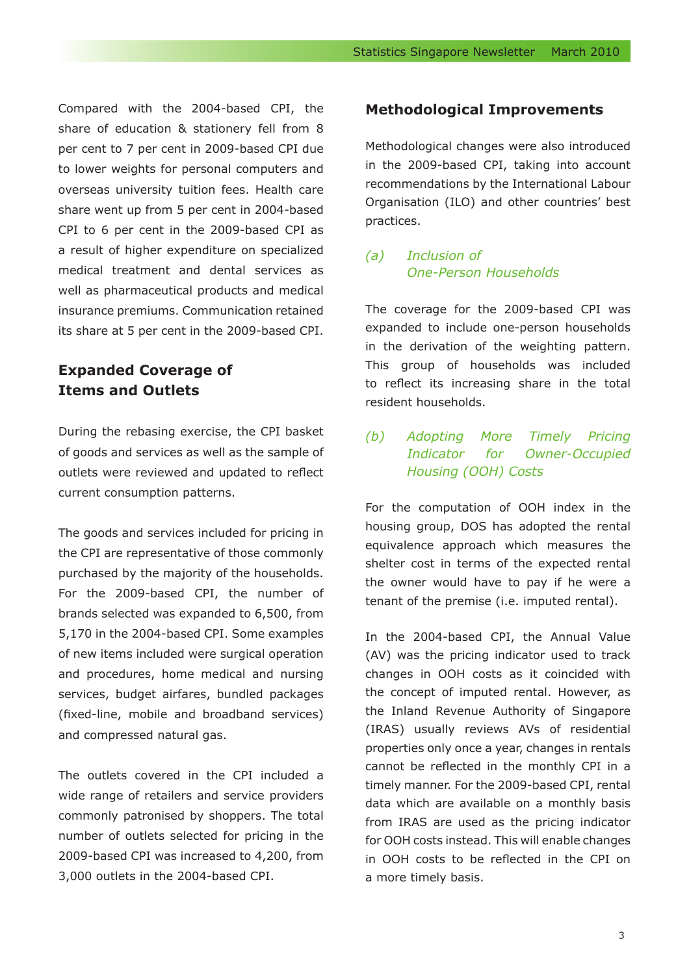Compared with the 2004-based CPI, the share of education & stationery fell from 8 per cent to 7 per cent in 2009-based CPI due to lower weights for personal computers and overseas university tuition fees. Health care share went up from 5 per cent in 2004-based CPI to 6 per cent in the 2009-based CPI as a result of higher expenditure on specialized medical treatment and dental services as well as pharmaceutical products and medical insurance premiums. Communication retained its share at 5 per cent in the 2009-based CPI.

# **Expanded Coverage of Items and Outlets**

During the rebasing exercise, the CPI basket of goods and services as well as the sample of outlets were reviewed and updated to reflect current consumption patterns.

The goods and services included for pricing in the CPI are representative of those commonly purchased by the majority of the households. For the 2009-based CPI, the number of brands selected was expanded to 6,500, from 5,170 in the 2004-based CPI. Some examples of new items included were surgical operation and procedures, home medical and nursing services, budget airfares, bundled packages (fixed-line, mobile and broadband services) and compressed natural gas.

The outlets covered in the CPI included a wide range of retailers and service providers commonly patronised by shoppers. The total number of outlets selected for pricing in the 2009-based CPI was increased to 4,200, from 3,000 outlets in the 2004-based CPI.

# **Methodological Improvements**

Methodological changes were also introduced in the 2009-based CPI, taking into account recommendations by the International Labour Organisation (ILO) and other countries' best practices.

# *(a) Inclusion of One-Person Households*

The coverage for the 2009-based CPI was expanded to include one-person households in the derivation of the weighting pattern. This group of households was included to reflect its increasing share in the total resident households.

# *(b) Adopting More Timely Pricing Indicator for Owner-Occupied Housing (OOH) Costs*

For the computation of OOH index in the housing group, DOS has adopted the rental equivalence approach which measures the shelter cost in terms of the expected rental the owner would have to pay if he were a tenant of the premise (i.e. imputed rental).

In the 2004-based CPI, the Annual Value (AV) was the pricing indicator used to track changes in OOH costs as it coincided with the concept of imputed rental. However, as the Inland Revenue Authority of Singapore (IRAS) usually reviews AVs of residential properties only once a year, changes in rentals cannot be reflected in the monthly CPI in a timely manner. For the 2009-based CPI, rental data which are available on a monthly basis from IRAS are used as the pricing indicator for OOH costs instead. This will enable changes in OOH costs to be reflected in the CPI on a more timely basis.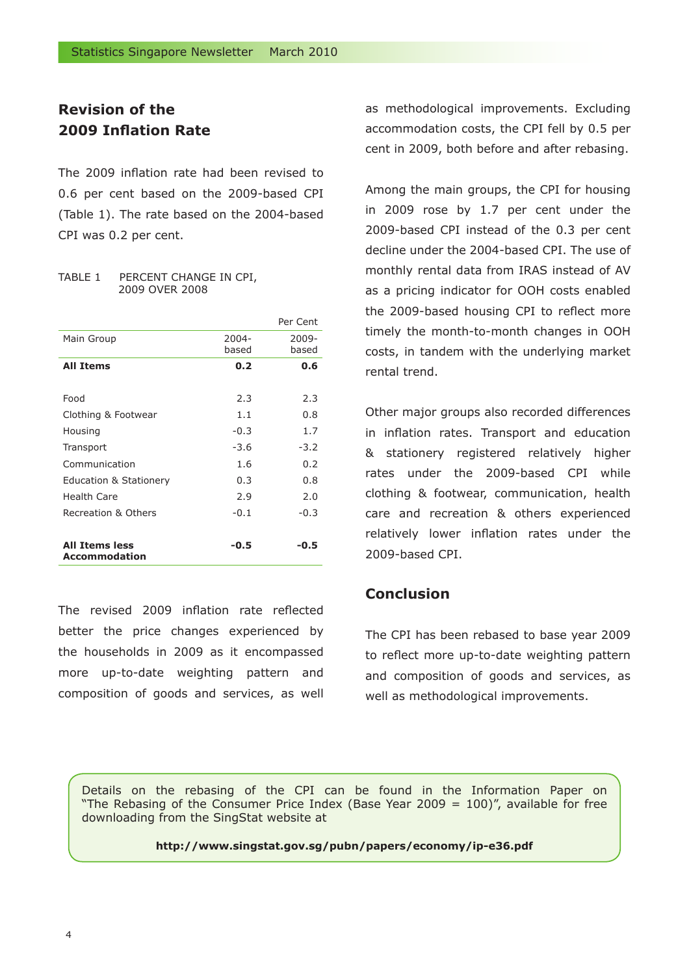# **Revision of the 2009 Inflation Rate**

The 2009 inflation rate had been revised to 0.6 per cent based on the 2009-based CPI (Table 1). The rate based on the 2004-based CPI was 0.2 per cent.

#### TABLE 1 PERCENT CHANGE IN CPI, 2009 OVER 2008

|                                               |        | Per Cent |
|-----------------------------------------------|--------|----------|
| Main Group                                    | 2004-  | 2009-    |
|                                               | based  | based    |
| <b>All Items</b>                              | 0.2    | 0.6      |
|                                               |        |          |
| Food                                          | 2.3    | 2.3      |
| Clothing & Footwear                           | 1.1    | 0.8      |
| Housing                                       | $-0.3$ | 1.7      |
| Transport                                     | $-3.6$ | $-3.2$   |
| Communication                                 | 1.6    | 0.2      |
| <b>Education &amp; Stationery</b>             | 0.3    | 0.8      |
| Health Care                                   | 2.9    | 2.0      |
| Recreation & Others                           | $-0.1$ | $-0.3$   |
|                                               |        |          |
| <b>All Items less</b><br><b>Accommodation</b> | -0.5   | -0.5     |

The revised 2009 inflation rate reflected better the price changes experienced by the households in 2009 as it encompassed more up-to-date weighting pattern and composition of goods and services, as well as methodological improvements. Excluding accommodation costs, the CPI fell by 0.5 per cent in 2009, both before and after rebasing.

Among the main groups, the CPI for housing in 2009 rose by 1.7 per cent under the 2009-based CPI instead of the 0.3 per cent decline under the 2004-based CPI. The use of monthly rental data from IRAS instead of AV as a pricing indicator for OOH costs enabled the 2009-based housing CPI to reflect more timely the month-to-month changes in OOH costs, in tandem with the underlying market rental trend.

Other major groups also recorded differences in inflation rates. Transport and education & stationery registered relatively higher rates under the 2009-based CPI while clothing & footwear, communication, health care and recreation & others experienced relatively lower inflation rates under the 2009-based CPI.

# **Conclusion**

The CPI has been rebased to base year 2009 to reflect more up-to-date weighting pattern and composition of goods and services, as well as methodological improvements.

Details on the rebasing of the CPI can be found in the Information Paper on "The Rebasing of the Consumer Price Index (Base Year 2009 = 100)", available for free downloading from the SingStat website at

**http://www.singstat.gov.sg/pubn/papers/economy/ip-e36.pdf**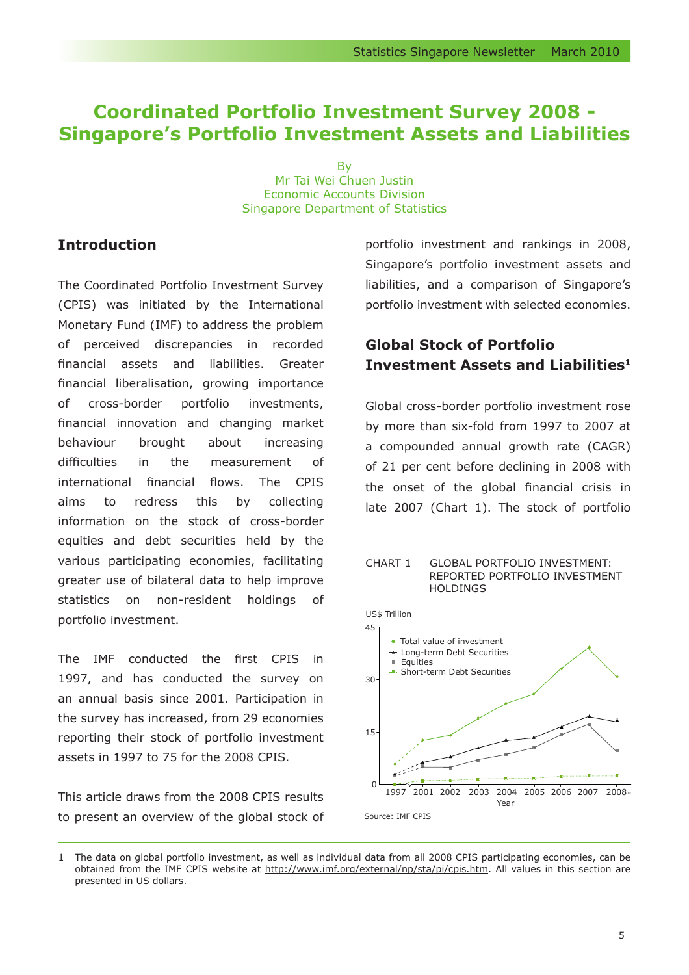# **Coordinated Portfolio Investment Survey 2008 - Singapore's Portfolio Investment Assets and Liabilities**

**B** Mr Tai Wei Chuen Justin Economic Accounts Division Singapore Department of Statistics

# **Introduction**

The Coordinated Portfolio Investment Survey (CPIS) was initiated by the International Monetary Fund (IMF) to address the problem of perceived discrepancies in recorded financial assets and liabilities. Greater financial liberalisation, growing importance of cross-border portfolio investments, financial innovation and changing market behaviour brought about increasing difficulties in the measurement of international financial flows. The CPIS aims to redress this by collecting information on the stock of cross-border equities and debt securities held by the various participating economies, facilitating greater use of bilateral data to help improve statistics on non-resident holdings of portfolio investment.

The IMF conducted the first CPIS in 1997, and has conducted the survey on an annual basis since 2001. Participation in the survey has increased, from 29 economies reporting their stock of portfolio investment assets in 1997 to 75 for the 2008 CPIS.

This article draws from the 2008 CPIS results to present an overview of the global stock of portfolio investment and rankings in 2008, Singapore's portfolio investment assets and liabilities, and a comparison of Singapore's portfolio investment with selected economies.

# **Global Stock of Portfolio Investment Assets and Liabilities1**

Global cross-border portfolio investment rose by more than six-fold from 1997 to 2007 at a compounded annual growth rate (CAGR) of 21 per cent before declining in 2008 with the onset of the global financial crisis in late 2007 (Chart 1). The stock of portfolio

#### CHART 1 GLOBAL PORTFOLIO INVESTMENT: REPORTED PORTFOLIO INVESTMENT HOLDINGS



<sup>1</sup> The data on global portfolio investment, as well as individual data from all 2008 CPIS participating economies, can be obtained from the IMF CPIS website at http://www.imf.org/external/np/sta/pi/cpis.htm. All values in this section are presented in US dollars.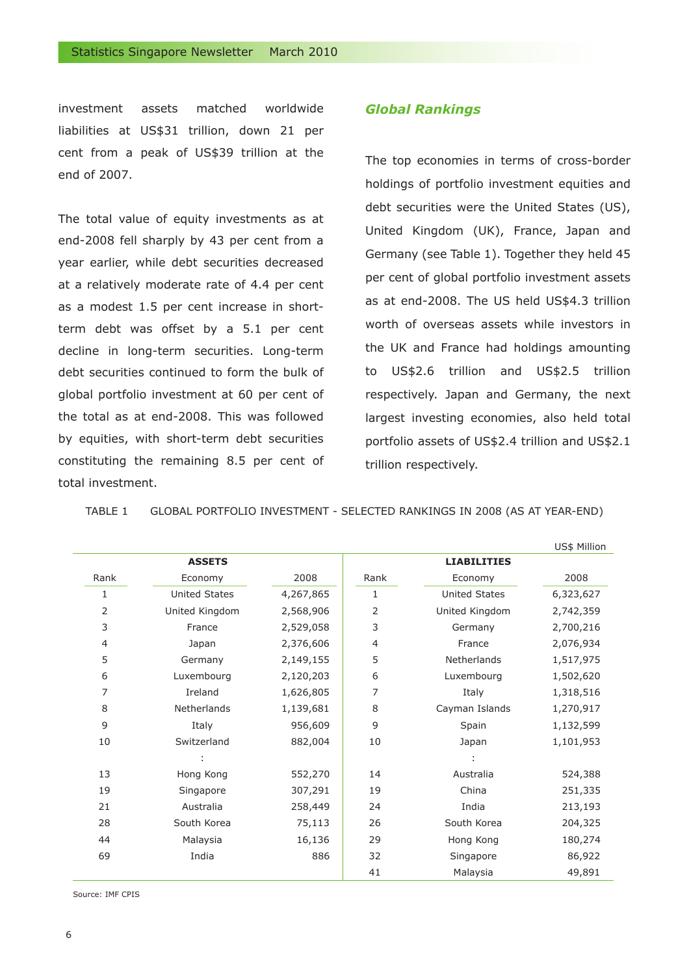investment assets matched worldwide liabilities at US\$31 trillion, down 21 per cent from a peak of US\$39 trillion at the end of 2007.

The total value of equity investments as at end-2008 fell sharply by 43 per cent from a year earlier, while debt securities decreased at a relatively moderate rate of 4.4 per cent as a modest 1.5 per cent increase in shortterm debt was offset by a 5.1 per cent decline in long-term securities. Long-term debt securities continued to form the bulk of global portfolio investment at 60 per cent of the total as at end-2008. This was followed by equities, with short-term debt securities constituting the remaining 8.5 per cent of total investment.

#### *Global Rankings*

The top economies in terms of cross-border holdings of portfolio investment equities and debt securities were the United States (US), United Kingdom (UK), France, Japan and Germany (see Table 1). Together they held 45 per cent of global portfolio investment assets as at end-2008. The US held US\$4.3 trillion worth of overseas assets while investors in the UK and France had holdings amounting to US\$2.6 trillion and US\$2.5 trillion respectively. Japan and Germany, the next largest investing economies, also held total portfolio assets of US\$2.4 trillion and US\$2.1 trillion respectively.

TABLE 1 GLOBAL PORTFOLIO INVESTMENT - SELECTED RANKINGS IN 2008 (AS AT YEAR-END)

|                |                |           |      |                      | US\$ Million |
|----------------|----------------|-----------|------|----------------------|--------------|
|                | <b>ASSETS</b>  |           |      | <b>LIABILITIES</b>   |              |
| Rank           | Economy        | 2008      | Rank | Economy              | 2008         |
| 1              | United States  | 4,267,865 | 1    | <b>United States</b> | 6,323,627    |
| 2              | United Kingdom | 2,568,906 | 2    | United Kingdom       | 2,742,359    |
| 3              | France         | 2,529,058 | 3    | Germany              | 2,700,216    |
| 4              | Japan          | 2,376,606 | 4    | France               | 2,076,934    |
| 5              | Germany        | 2,149,155 | 5    | Netherlands          | 1,517,975    |
| 6              | Luxembourg     | 2,120,203 | 6    | Luxembourg           | 1,502,620    |
| $\overline{7}$ | Ireland        | 1,626,805 | 7    | Italy                | 1,318,516    |
| 8              | Netherlands    | 1,139,681 | 8    | Cayman Islands       | 1,270,917    |
| 9              | Italy          | 956,609   | 9    | Spain                | 1,132,599    |
| 10             | Switzerland    | 882,004   | 10   | Japan                | 1,101,953    |
|                |                |           |      |                      |              |
| 13             | Hong Kong      | 552,270   | 14   | Australia            | 524,388      |
| 19             | Singapore      | 307,291   | 19   | China                | 251,335      |
| 21             | Australia      | 258,449   | 24   | India                | 213,193      |
| 28             | South Korea    | 75,113    | 26   | South Korea          | 204,325      |
| 44             | Malaysia       | 16,136    | 29   | Hong Kong            | 180,274      |
| 69             | India          | 886       | 32   | Singapore            | 86,922       |
|                |                |           | 41   | Malaysia             | 49,891       |

Source: IMF CPIS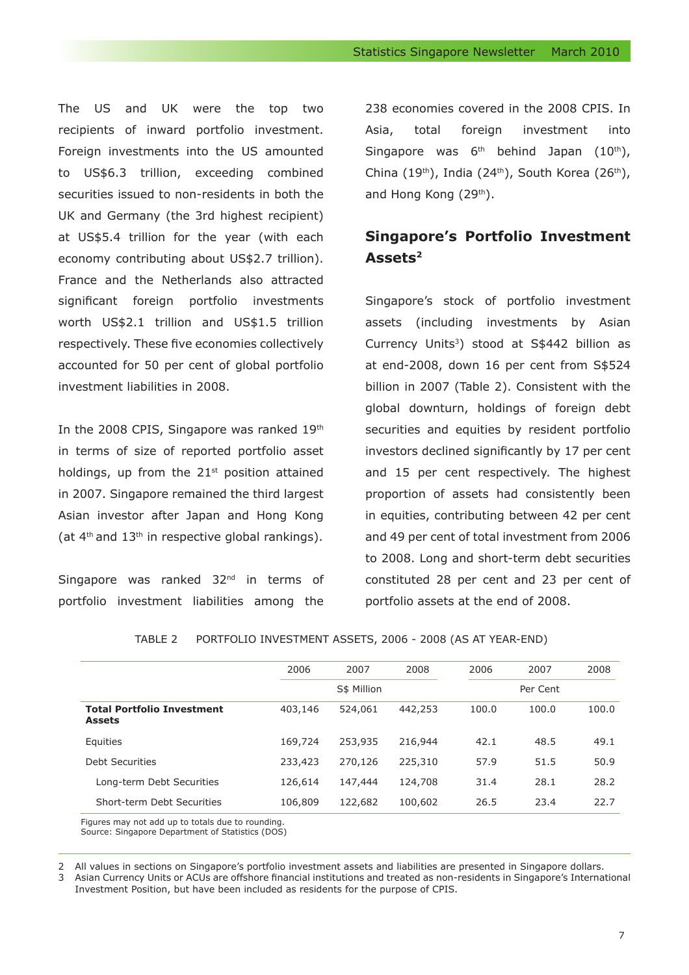The US and UK were the top two recipients of inward portfolio investment. Foreign investments into the US amounted to US\$6.3 trillion, exceeding combined securities issued to non-residents in both the UK and Germany (the 3rd highest recipient) at US\$5.4 trillion for the year (with each economy contributing about US\$2.7 trillion). France and the Netherlands also attracted significant foreign portfolio investments worth US\$2.1 trillion and US\$1.5 trillion respectively. These five economies collectively accounted for 50 per cent of global portfolio investment liabilities in 2008.

In the 2008 CPIS, Singapore was ranked 19th in terms of size of reported portfolio asset holdings, up from the  $21<sup>st</sup>$  position attained in 2007. Singapore remained the third largest Asian investor after Japan and Hong Kong (at  $4<sup>th</sup>$  and  $13<sup>th</sup>$  in respective global rankings).

Singapore was ranked 32<sup>nd</sup> in terms of portfolio investment liabilities among the 238 economies covered in the 2008 CPIS. In Asia, total foreign investment into Singapore was  $6<sup>th</sup>$  behind Japan (10<sup>th</sup>), China (19<sup>th</sup>), India (24<sup>th</sup>), South Korea (26<sup>th</sup>), and Hong Kong (29<sup>th</sup>).

# **Singapore's Portfolio Investment Assets2**

Singapore's stock of portfolio investment assets (including investments by Asian Currency Units<sup>3</sup>) stood at S\$442 billion as at end-2008, down 16 per cent from S\$524 billion in 2007 (Table 2). Consistent with the global downturn, holdings of foreign debt securities and equities by resident portfolio investors declined significantly by 17 per cent and 15 per cent respectively. The highest proportion of assets had consistently been in equities, contributing between 42 per cent and 49 per cent of total investment from 2006 to 2008. Long and short-term debt securities constituted 28 per cent and 23 per cent of portfolio assets at the end of 2008.

|                                                              | 2006    | 2007        | 2008    | 2006  | 2007     | 2008  |
|--------------------------------------------------------------|---------|-------------|---------|-------|----------|-------|
|                                                              |         | S\$ Million |         |       | Per Cent |       |
| <b>Total Portfolio Investment</b><br><b>Assets</b>           | 403,146 | 524,061     | 442,253 | 100.0 | 100.0    | 100.0 |
| Equities                                                     | 169,724 | 253,935     | 216,944 | 42.1  | 48.5     | 49.1  |
| Debt Securities                                              | 233,423 | 270,126     | 225,310 | 57.9  | 51.5     | 50.9  |
| Long-term Debt Securities                                    | 126,614 | 147,444     | 124,708 | 31.4  | 28.1     | 28.2  |
| Short-term Debt Securities                                   | 106,809 | 122,682     | 100,602 | 26.5  | 23.4     | 22.7  |
| $Eianina mno; not add un to total of the line to nonradiar.$ |         |             |         |       |          |       |

TABLE 2 PORTFOLIO INVESTMENT ASSETS, 2006 - 2008 (AS AT YEAR-END)

Figures may not add up to totals due to rounding. Source: Singapore Department of Statistics (DOS)

2 All values in sections on Singapore's portfolio investment assets and liabilities are presented in Singapore dollars.<br>3 Asian Currency Units or ACUs are offshore financial institutions and treated as non-residents in Sin

3 Asian Currency Units or ACUs are offshore financial institutions and treated as non-residents in Singapore's International Investment Position, but have been included as residents for the purpose of CPIS.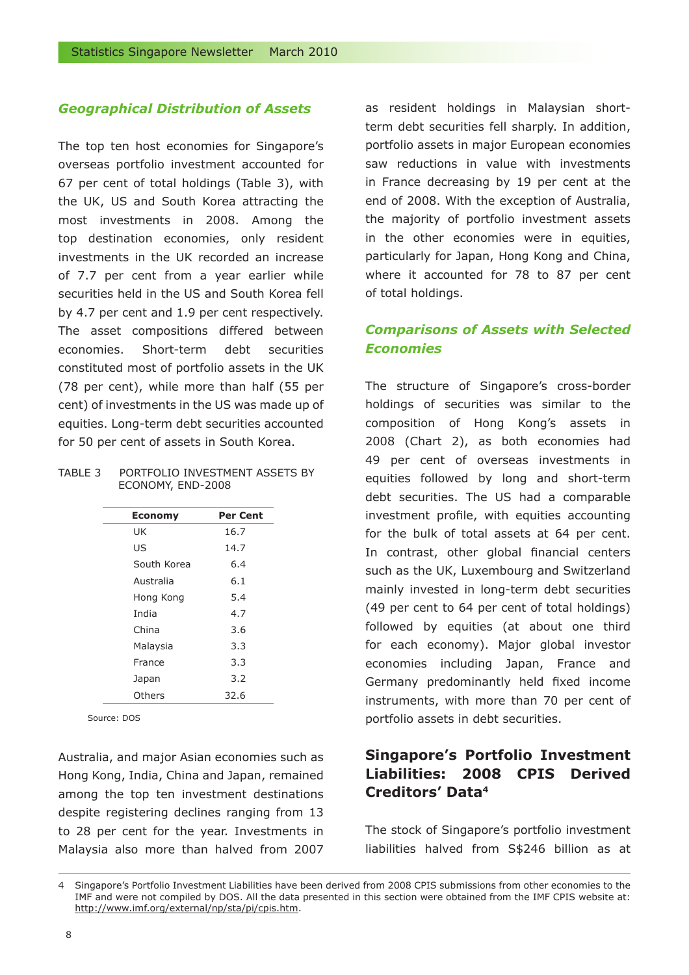#### *Geographical Distribution of Assets*

The top ten host economies for Singapore's overseas portfolio investment accounted for 67 per cent of total holdings (Table 3), with the UK, US and South Korea attracting the most investments in 2008. Among the top destination economies, only resident investments in the UK recorded an increase of 7.7 per cent from a year earlier while securities held in the US and South Korea fell by 4.7 per cent and 1.9 per cent respectively. The asset compositions differed between economies. Short-term debt securities constituted most of portfolio assets in the UK (78 per cent), while more than half (55 per cent) of investments in the US was made up of equities. Long-term debt securities accounted for 50 per cent of assets in South Korea.

#### TABLE 3 PORTFOLIO INVESTMENT ASSETS BY ECONOMY, END-2008

| <b>Economy</b> | Per Cent |
|----------------|----------|
| UK             | 16.7     |
| US             | 14.7     |
| South Korea    | 6.4      |
| Australia      | 6.1      |
| Hong Kong      | 5.4      |
| India          | 4.7      |
| China          | 3.6      |
| Malaysia       | 3.3      |
| France         | 3.3      |
| Japan          | 3.2      |
| Others         | 32.6     |

Source: DOS

Australia, and major Asian economies such as Hong Kong, India, China and Japan, remained among the top ten investment destinations despite registering declines ranging from 13 to 28 per cent for the year. Investments in Malaysia also more than halved from 2007 as resident holdings in Malaysian shortterm debt securities fell sharply. In addition, portfolio assets in major European economies saw reductions in value with investments in France decreasing by 19 per cent at the end of 2008. With the exception of Australia, the majority of portfolio investment assets in the other economies were in equities, particularly for Japan, Hong Kong and China, where it accounted for 78 to 87 per cent of total holdings.

# *Comparisons of Assets with Selected Economies*

The structure of Singapore's cross-border holdings of securities was similar to the composition of Hong Kong's assets in 2008 (Chart 2), as both economies had 49 per cent of overseas investments in equities followed by long and short-term debt securities. The US had a comparable investment profile, with equities accounting for the bulk of total assets at 64 per cent. In contrast, other global financial centers such as the UK, Luxembourg and Switzerland mainly invested in long-term debt securities (49 per cent to 64 per cent of total holdings) followed by equities (at about one third for each economy). Major global investor economies including Japan, France and Germany predominantly held fixed income instruments, with more than 70 per cent of portfolio assets in debt securities.

# **Singapore's Portfolio Investment Liabilities: 2008 CPIS Derived Creditors' Data4**

The stock of Singapore's portfolio investment liabilities halved from S\$246 billion as at

<sup>4</sup> Singapore's Portfolio Investment Liabilities have been derived from 2008 CPIS submissions from other economies to the IMF and were not compiled by DOS. All the data presented in this section were obtained from the IMF CPIS website at: http://www.imf.org/external/np/sta/pi/cpis.htm.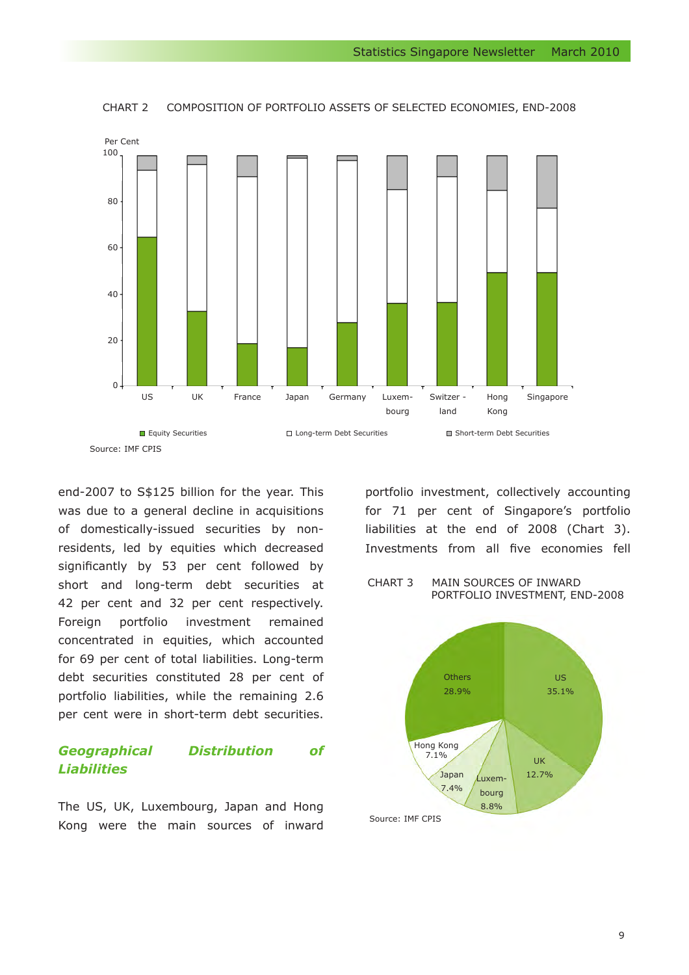

CHART 2 COMPOSITION OF PORTFOLIO ASSETS OF SELECTED ECONOMIES, END-2008

end-2007 to S\$125 billion for the year. This was due to a general decline in acquisitions of domestically-issued securities by nonresidents, led by equities which decreased significantly by 53 per cent followed by short and long-term debt securities at 42 per cent and 32 per cent respectively. Foreign portfolio investment remained concentrated in equities, which accounted for 69 per cent of total liabilities. Long-term debt securities constituted 28 per cent of portfolio liabilities, while the remaining 2.6 per cent were in short-term debt securities.

# *Geographical Distribution of Liabilities*

The US, UK, Luxembourg, Japan and Hong Kong were the main sources of inward

portfolio investment, collectively accounting for 71 per cent of Singapore's portfolio liabilities at the end of 2008 (Chart 3). Investments from all five economies fell

#### CHART 3 MAIN SOURCES OF INWARD PORTFOLIO INVESTMENT, END-2008

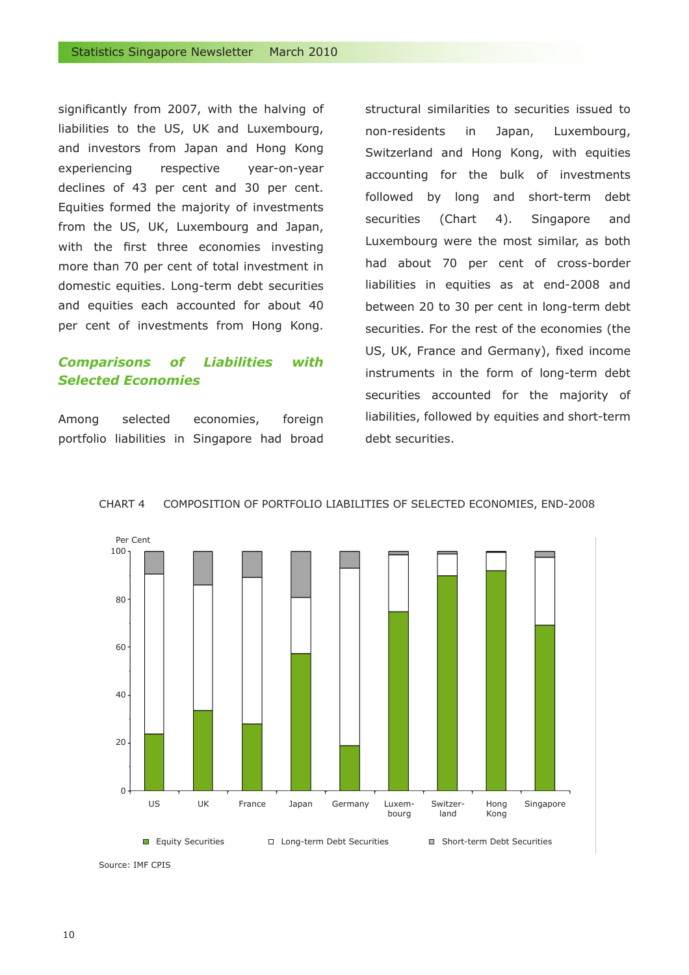significantly from 2007, with the halving of liabilities to the US, UK and Luxembourg, and investors from Japan and Hong Kong experiencing respective year-on-year declines of 43 per cent and 30 per cent. Equities formed the majority of investments from the US, UK, Luxembourg and Japan, with the first three economies investing more than 70 per cent of total investment in domestic equities. Long-term debt securities and equities each accounted for about 40 per cent of investments from Hong Kong.

### *Comparisons of Liabilities with Selected Economies*

Among selected economies, foreign portfolio liabilities in Singapore had broad structural similarities to securities issued to non-residents in Japan, Luxembourg, Switzerland and Hong Kong, with equities accounting for the bulk of investments followed by long and short-term debt securities (Chart 4). Singapore and Luxembourg were the most similar, as both had about 70 per cent of cross-border liabilities in equities as at end-2008 and between 20 to 30 per cent in long-term debt securities. For the rest of the economies (the US, UK, France and Germany), fixed income instruments in the form of long-term debt securities accounted for the majority of liabilities, followed by equities and short-term debt securities.



CHART 4 COMPOSITION OF PORTFOLIO LIABILITIES OF SELECTED ECONOMIES, END-2008

Source: IMF CPIS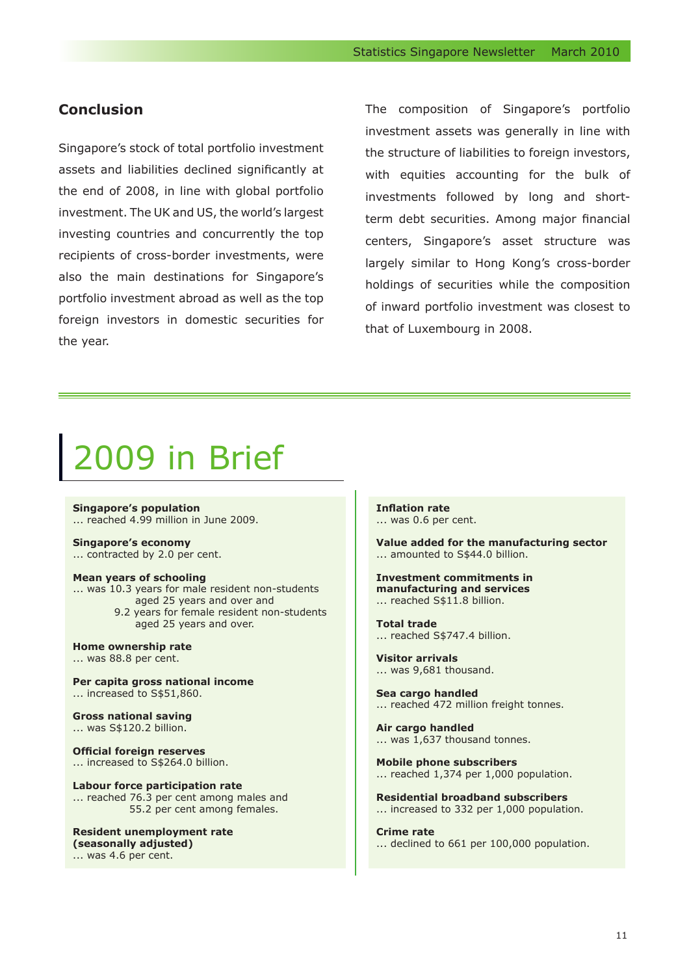# **Conclusion**

Singapore's stock of total portfolio investment assets and liabilities declined significantly at the end of 2008, in line with global portfolio investment. The UK and US, the world's largest investing countries and concurrently the top recipients of cross-border investments, were also the main destinations for Singapore's portfolio investment abroad as well as the top foreign investors in domestic securities for the year.

The composition of Singapore's portfolio investment assets was generally in line with the structure of liabilities to foreign investors, with equities accounting for the bulk of investments followed by long and shortterm debt securities. Among major financial centers, Singapore's asset structure was largely similar to Hong Kong's cross-border holdings of securities while the composition of inward portfolio investment was closest to that of Luxembourg in 2008.

# 2009 in Brief

**Singapore's population** ... reached 4.99 million in June 2009.

**Singapore's economy**

... contracted by 2.0 per cent.

**Mean years of schooling**

... was 10.3 years for male resident non-students aged 25 years and over and 9.2 years for female resident non-students aged 25 years and over.

**Home ownership rate** ... was 88.8 per cent.

**Per capita gross national income** ... increased to S\$51,860.

**Gross national saving** ... was S\$120.2 billion.

**Official foreign reserves** ... increased to S\$264.0 billion.

**Labour force participation rate** ... reached 76.3 per cent among males and 55.2 per cent among females.

**Resident unemployment rate (seasonally adjusted)** ... was 4.6 per cent.

**Inflation rate** ... was 0.6 per cent.

**Value added for the manufacturing sector** ... amounted to S\$44.0 billion.

#### **Investment commitments in manufacturing and services** ... reached S\$11.8 billion.

**Total trade**

... reached S\$747.4 billion.

**Visitor arrivals** ... was 9,681 thousand.

**Sea cargo handled** ... reached 472 million freight tonnes.

**Air cargo handled** ... was 1,637 thousand tonnes.

**Mobile phone subscribers** ... reached 1,374 per 1,000 population.

**Residential broadband subscribers** ... increased to 332 per 1,000 population.

**Crime rate** ... declined to 661 per 100,000 population.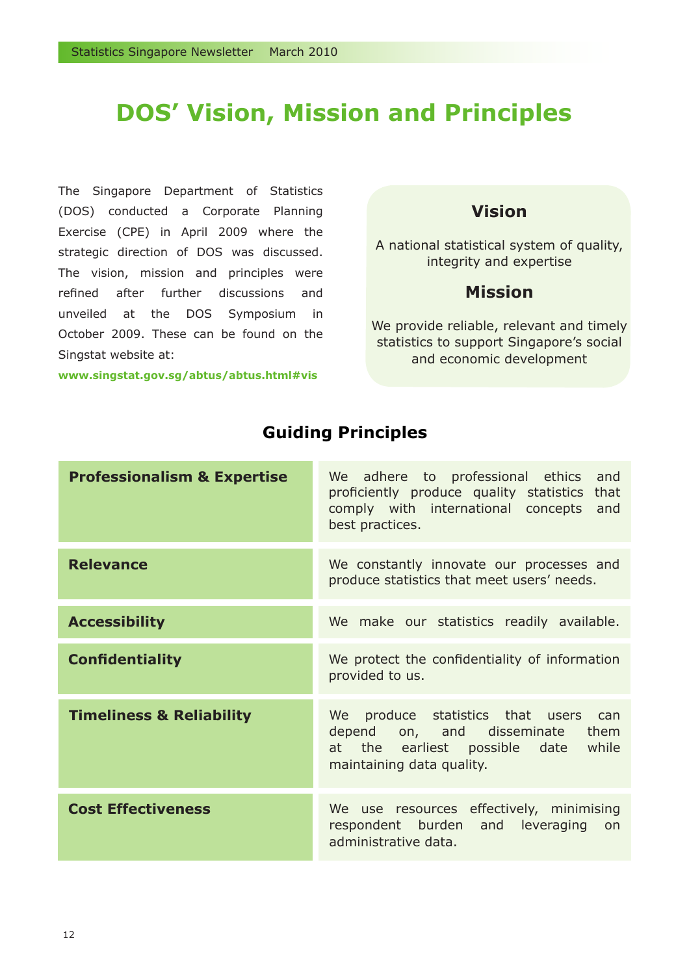# **DOS' Vision, Mission and Principles**

The Singapore Department of Statistics (DOS) conducted a Corporate Planning Exercise (CPE) in April 2009 where the strategic direction of DOS was discussed. The vision, mission and principles were refined after further discussions and unveiled at the DOS Symposium in October 2009. These can be found on the Singstat website at:

**www.singstat.gov.sg/abtus/abtus.html#vis**

# **Vision**

A national statistical system of quality, integrity and expertise

# **Mission**

We provide reliable, relevant and timely statistics to support Singapore's social and economic development

| <b>Professionalism &amp; Expertise</b> | We adhere to professional ethics<br>and<br>proficiently produce quality statistics that<br>comply with international concepts and<br>best practices. |
|----------------------------------------|------------------------------------------------------------------------------------------------------------------------------------------------------|
| <b>Relevance</b>                       | We constantly innovate our processes and<br>produce statistics that meet users' needs.                                                               |
| <b>Accessibility</b>                   | We make our statistics readily available.                                                                                                            |
| <b>Confidentiality</b>                 | We protect the confidentiality of information<br>provided to us.                                                                                     |
| <b>Timeliness &amp; Reliability</b>    | We produce statistics that users<br>can<br>depend on, and disseminate them<br>at the earliest possible date while<br>maintaining data quality.       |
| <b>Cost Effectiveness</b>              | We use resources effectively, minimising<br>respondent burden and leveraging<br>on<br>administrative data.                                           |

# **Guiding Principles**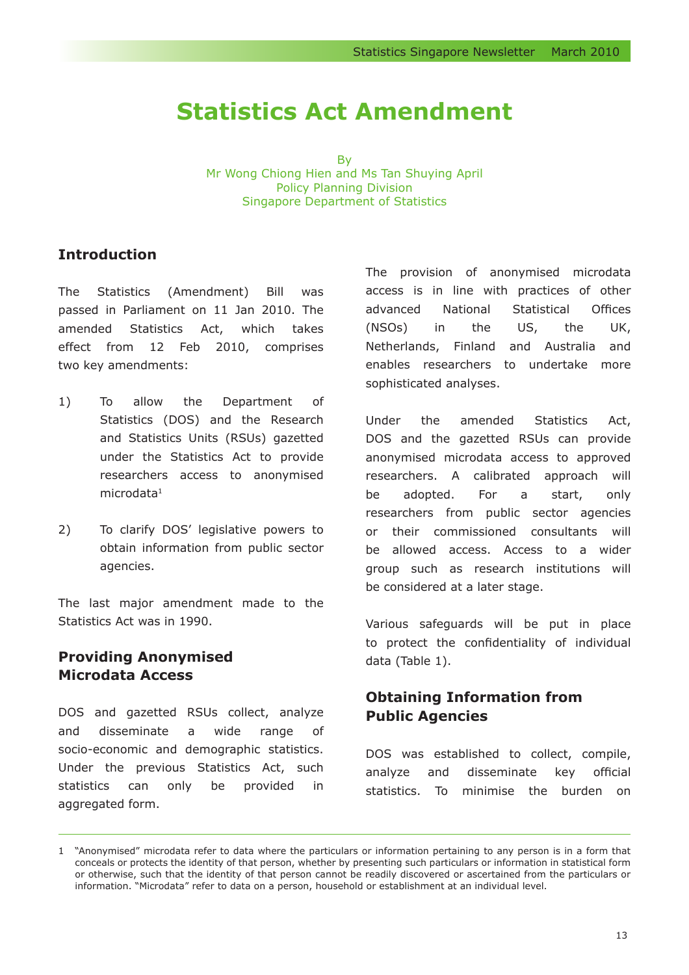# **Statistics Act Amendment**

By

Mr Wong Chiong Hien and Ms Tan Shuying April Policy Planning Division Singapore Department of Statistics

# **Introduction**

The Statistics (Amendment) Bill was passed in Parliament on 11 Jan 2010. The amended Statistics Act, which takes effect from 12 Feb 2010, comprises two key amendments:

- 1) To allow the Department of Statistics (DOS) and the Research and Statistics Units (RSUs) gazetted under the Statistics Act to provide researchers access to anonymised microdata<sup>1</sup>
- 2) To clarify DOS' legislative powers to 2) obtain information from public sector agencies.

The last major amendment made to the Statistics Act was in 1990.

# **Providing Anonymised Microdata Access**

DOS and gazetted RSUs collect, analyze and disseminate a wide range of socio-economic and demographic statistics. Under the previous Statistics Act, such statistics can only be provided in aggregated form.

The provision of anonymised microdata access is in line with practices of other advanced National Statistical Offices (NSOs) in the US, the UK, Netherlands, Finland and Australia and enables researchers to undertake more sophisticated analyses.

Under the amended Statistics Act, DOS and the gazetted RSUs can provide anonymised microdata access to approved researchers. A calibrated approach will be adopted. For a start, only researchers from public sector agencies or their commissioned consultants will be allowed access. Access to a wider group such as research institutions will be considered at a later stage.

Various safeguards will be put in place to protect the confidentiality of individual data (Table 1).

# **Obtaining Information from Public Agencies**

DOS was established to collect, compile, analyze and disseminate key official statistics. To minimise the burden on

<sup>1</sup> "Anonymised" microdata refer to data where the particulars or information pertaining to any person is in a form that conceals or protects the identity of that person, whether by presenting such particulars or information in statistical form or otherwise, such that the identity of that person cannot be readily discovered or ascertained from the particulars or information. "Microdata" refer to data on a person, household or establishment at an individual level.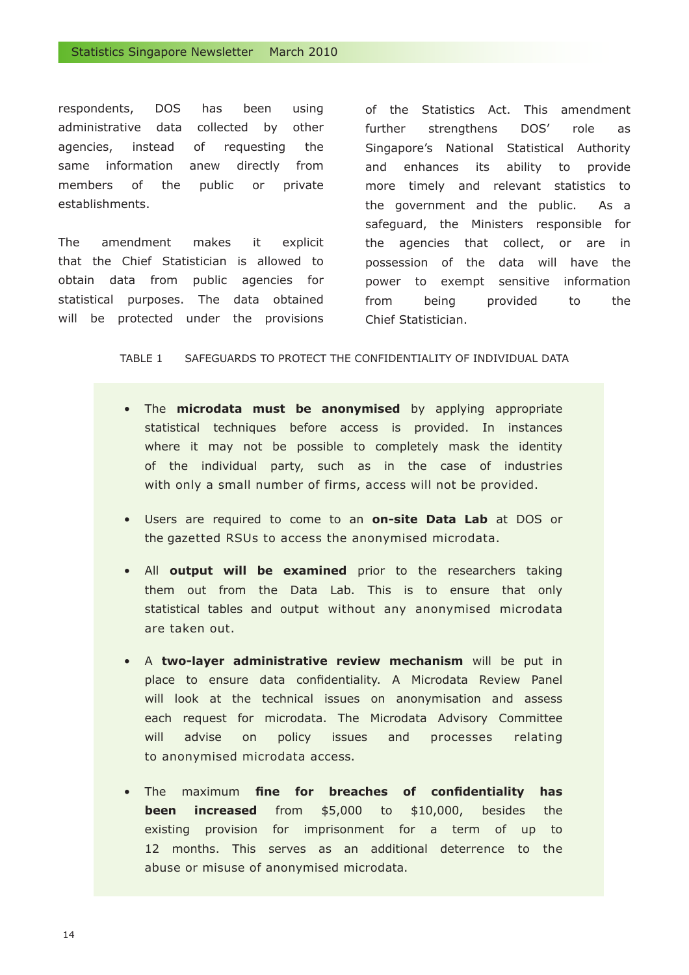respondents, DOS has been using administrative data collected by other agencies, instead of requesting the same information anew directly from members of the public or private establishments.

The amendment makes it explicit that the Chief Statistician is allowed to obtain data from public agencies for statistical purposes. The data obtained will be protected under the provisions

of the Statistics Act. This amendment further strengthens DOS' role as Singapore's National Statistical Authority and enhances its ability to provide more timely and relevant statistics to the government and the public. As a safeguard, the Ministers responsible for the agencies that collect, or are in possession of the data will have the power to exempt sensitive information from being provided to the Chief Statistician.

TABLE 1 SAFEGUARDS TO PROTECT THE CONFIDENTIALITY OF INDIVIDUAL DATA

- The **microdata must be anonymised** by applying appropriate statistical techniques before access is provided. In instances where it may not be possible to completely mask the identity of the individual party, such as in the case of industries with only a small number of firms, access will not be provided.
- Users are required to come to an **on-site Data Lab** at DOS or the gazetted RSUs to access the anonymised microdata.
- All **output will be examined** prior to the researchers taking them out from the Data Lab. This is to ensure that only statistical tables and output without any anonymised microdata are taken out.
- A **two-layer administrative review mechanism** will be put in • place to ensure data confidentiality. A Microdata Review Panel will look at the technical issues on anonymisation and assess each request for microdata. The Microdata Advisory Committee will advise on policy issues and processes relating to anonymised microdata access.
- The maximum **fine for breaches of confidentiality has been increased** from \$5,000 to \$10,000, besides the existing provision for imprisonment for a term of up to 12 months. This serves as an additional deterrence to the abuse or misuse of anonymised microdata.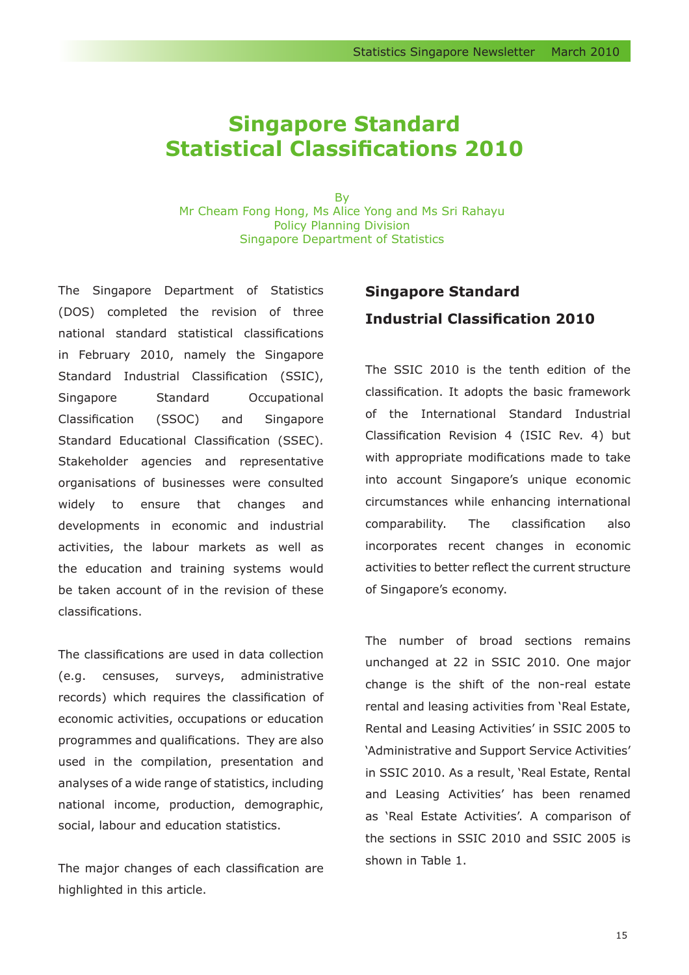# **Singapore Standard Statistical Classifications 2010**

By Mr Cheam Fong Hong, Ms Alice Yong and Ms Sri Rahayu Policy Planning Division Singapore Department of Statistics

The Singapore Department of Statistics (DOS) completed the revision of three national standard statistical classifications in February 2010, namely the Singapore Standard Industrial Classification (SSIC), Singapore Standard Occupational Classification (SSOC) and Singapore Standard Educational Classification (SSEC). Stakeholder agencies and representative organisations of businesses were consulted widely to ensure that changes and developments in economic and industrial activities, the labour markets as well as the education and training systems would be taken account of in the revision of these classifications.

The classifications are used in data collection (e.g. censuses, surveys, administrative records) which requires the classification of economic activities, occupations or education programmes and qualifications. They are also used in the compilation, presentation and analyses of a wide range of statistics, including national income, production, demographic, social, labour and education statistics.

The major changes of each classification are highlighted in this article.

# **Singapore Standard Industrial Classification 2010**

The SSIC 2010 is the tenth edition of the classification. It adopts the basic framework of the International Standard Industrial Classification Revision 4 (ISIC Rev. 4) but with appropriate modifications made to take into account Singapore's unique economic circumstances while enhancing international comparability. The classification also incorporates recent changes in economic activities to better reflect the current structure of Singapore's economy.

The number of broad sections remains unchanged at 22 in SSIC 2010. One major change is the shift of the non-real estate rental and leasing activities from 'Real Estate, Rental and Leasing Activities' in SSIC 2005 to 'Administrative and Support Service Activities' in SSIC 2010. As a result, 'Real Estate, Rental and Leasing Activities' has been renamed as 'Real Estate Activities'. A comparison of the sections in SSIC 2010 and SSIC 2005 is shown in Table 1.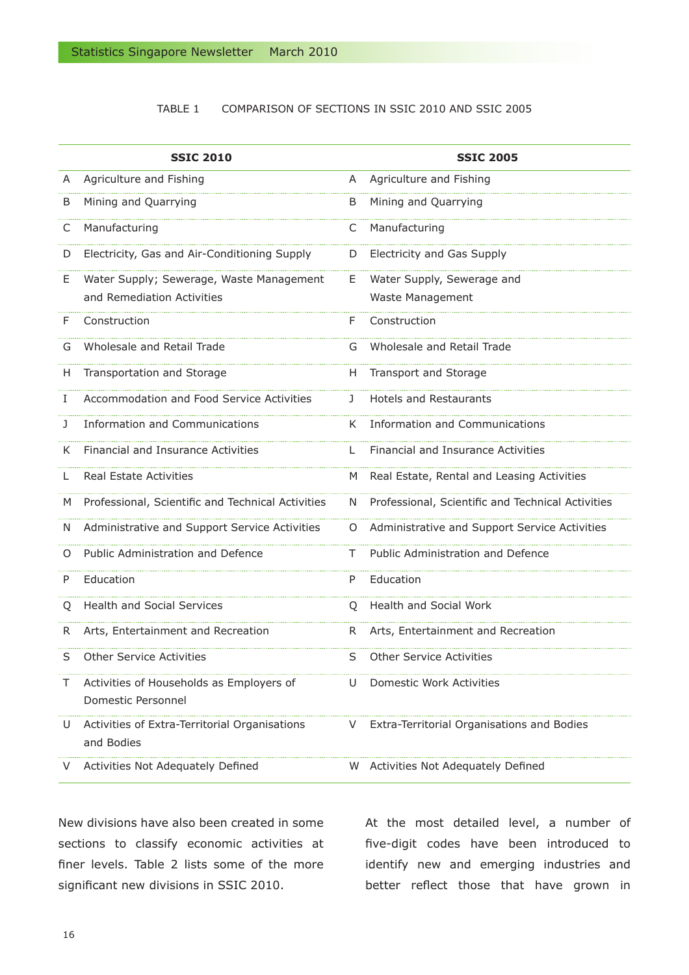#### TABLE 1 COMPARISON OF SECTIONS IN SSIC 2010 AND SSIC 2005

|    | <b>SSIC 2010</b>                                                       |    | <b>SSIC 2005</b>                                  |
|----|------------------------------------------------------------------------|----|---------------------------------------------------|
| A  | Agriculture and Fishing                                                | A  | Agriculture and Fishing                           |
| B  | Mining and Quarrying                                                   | B  | Mining and Quarrying                              |
| C  | Manufacturing                                                          | C  | Manufacturing                                     |
| D  | Electricity, Gas and Air-Conditioning Supply                           | D  | Electricity and Gas Supply                        |
| E. | Water Supply; Sewerage, Waste Management<br>and Remediation Activities | E. | Water Supply, Sewerage and<br>Waste Management    |
| F  | Construction                                                           | F  | Construction                                      |
| G  | Wholesale and Retail Trade                                             | G  | Wholesale and Retail Trade                        |
| H. | Transportation and Storage                                             | H. | Transport and Storage                             |
| I  | Accommodation and Food Service Activities                              | J. | <b>Hotels and Restaurants</b>                     |
| J  | <b>Information and Communications</b>                                  | K. | Information and Communications                    |
| K  | Financial and Insurance Activities                                     | L  | Financial and Insurance Activities                |
| L  | <b>Real Estate Activities</b>                                          | M  | Real Estate, Rental and Leasing Activities        |
| M  | Professional, Scientific and Technical Activities                      | N  | Professional, Scientific and Technical Activities |
| N  | Administrative and Support Service Activities                          | O  | Administrative and Support Service Activities     |
| Ő  | Public Administration and Defence                                      | Τ  | Public Administration and Defence                 |
| P  | Education                                                              | P  | Education                                         |
| Ő  | <b>Health and Social Services</b>                                      | O  | <b>Health and Social Work</b>                     |
| R. | Arts, Entertainment and Recreation                                     | R. | Arts, Entertainment and Recreation                |
| S  | <b>Other Service Activities</b>                                        | S  | <b>Other Service Activities</b>                   |
|    | Activities of Households as Employers of<br>Domestic Personnel         | U  | Domestic Work Activities                          |
| U  | Activities of Extra-Territorial Organisations<br>and Bodies            | V  | Extra-Territorial Organisations and Bodies        |
|    | Activities Not Adequately Defined                                      | W  | Activities Not Adequately Defined                 |

New divisions have also been created in some sections to classify economic activities at finer levels. Table 2 lists some of the more significant new divisions in SSIC 2010.

At the most detailed level, a number of five-digit codes have been introduced to identify new and emerging industries and better reflect those that have grown in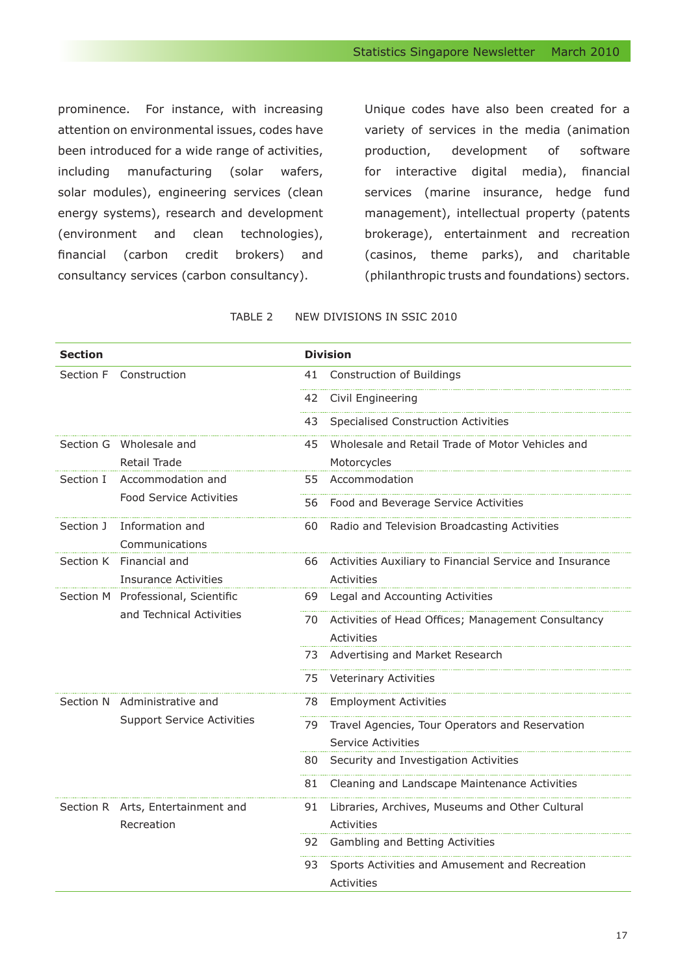prominence. For instance, with increasing attention on environmental issues, codes have been introduced for a wide range of activities, including manufacturing (solar wafers, solar modules), engineering services (clean energy systems), research and development (environment and clean technologies), financial (carbon credit brokers) and consultancy services (carbon consultancy).

Unique codes have also been created for a variety of services in the media (animation production, development of software for interactive digital media), financial services (marine insurance, hedge fund management), intellectual property (patents brokerage), entertainment and recreation (casinos, theme parks), and charitable (philanthropic trusts and foundations) sectors.

TABLE 2 NEW DIVISIONS IN SSIC 2010

| <b>Section</b> |                                                                |     | <b>Division</b>                                         |
|----------------|----------------------------------------------------------------|-----|---------------------------------------------------------|
| Section F      | Construction                                                   | 41  | Construction of Buildings                               |
|                |                                                                | 42  | Civil Engineering                                       |
|                |                                                                | 43  | <b>Specialised Construction Activities</b>              |
|                | Section G Wholesale and                                        | 45  | Wholesale and Retail Trade of Motor Vehicles and        |
|                | Retail Trade                                                   |     | Motorcycles                                             |
| Section I      | Accommodation and                                              | 55. | Accommodation                                           |
|                | <b>Food Service Activities</b>                                 | 56  | Food and Beverage Service Activities                    |
| Section J      | Information and                                                | 60  | Radio and Television Broadcasting Activities            |
|                | Communications                                                 |     |                                                         |
|                | Section K Financial and                                        | 66  | Activities Auxiliary to Financial Service and Insurance |
|                | Insurance Activities                                           |     | <b>Activities</b>                                       |
|                | Section M Professional, Scientific<br>and Technical Activities | 69  | Legal and Accounting Activities                         |
|                |                                                                | 70  | Activities of Head Offices; Management Consultancy      |
|                |                                                                |     | Activities                                              |
|                |                                                                | 73  | Advertising and Market Research                         |
|                |                                                                | 75  | Veterinary Activities                                   |
|                | Section N Administrative and                                   | 78  | <b>Employment Activities</b>                            |
|                | <b>Support Service Activities</b>                              | 79  | Travel Agencies, Tour Operators and Reservation         |
|                |                                                                |     | Service Activities                                      |
|                |                                                                | 80. | Security and Investigation Activities                   |
|                |                                                                | 81  | Cleaning and Landscape Maintenance Activities           |
|                | Section R Arts, Entertainment and                              | 91  | Libraries, Archives, Museums and Other Cultural         |
|                | Recreation                                                     |     | <b>Activities</b>                                       |
|                |                                                                |     | 92 Gambling and Betting Activities                      |
|                |                                                                | 93  | Sports Activities and Amusement and Recreation          |
|                |                                                                |     | <b>Activities</b>                                       |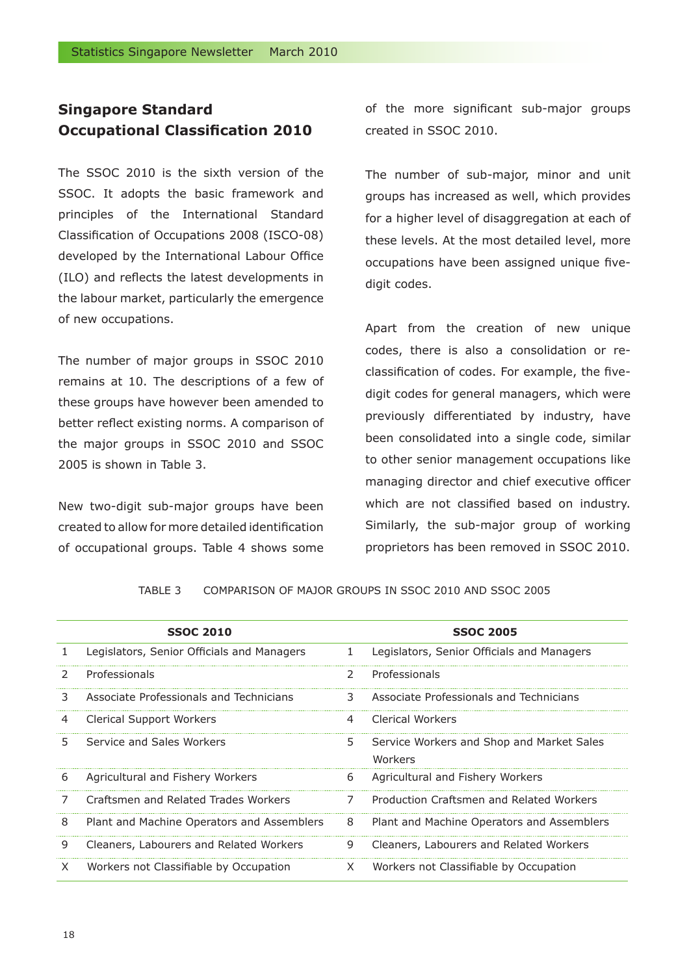# **Singapore Standard Occupational Classification 2010**

The SSOC 2010 is the sixth version of the SSOC. It adopts the basic framework and principles of the International Standard Classification of Occupations 2008 (ISCO-08) developed by the International Labour Office (ILO) and reflects the latest developments in the labour market, particularly the emergence of new occupations.

The number of major groups in SSOC 2010 remains at 10. The descriptions of a few of these groups have however been amended to better reflect existing norms. A comparison of the major groups in SSOC 2010 and SSOC 2005 is shown in Table 3.

New two-digit sub-major groups have been created to allow for more detailed identification of occupational groups. Table 4 shows some of the more significant sub-major groups created in SSOC 2010.

The number of sub-major, minor and unit groups has increased as well, which provides for a higher level of disaggregation at each of these levels. At the most detailed level, more occupations have been assigned unique fivedigit codes.

Apart from the creation of new unique codes, there is also a consolidation or reclassification of codes. For example, the fivedigit codes for general managers, which were previously differentiated by industry, have been consolidated into a single code, similar to other senior management occupations like managing director and chief executive officer which are not classified based on industry. Similarly, the sub-major group of working proprietors has been removed in SSOC 2010.

#### TABLE 3 COMPARISON OF MAJOR GROUPS IN SSOC 2010 AND SSOC 2005

|              | <b>SSOC 2010</b>                           |               | <b>SSOC 2005</b>                                     |
|--------------|--------------------------------------------|---------------|------------------------------------------------------|
| $\mathbf{1}$ | Legislators, Senior Officials and Managers | 1             | Legislators, Senior Officials and Managers           |
| 2            | Professionals                              | $\mathcal{L}$ | Professionals                                        |
| 3.           | Associate Professionals and Technicians    | 3             | Associate Professionals and Technicians              |
| 4            | Clerical Support Workers                   | 4             | Clerical Workers                                     |
| 5.           | Service and Sales Workers                  | 5.            | Service Workers and Shop and Market Sales<br>Workers |
| 6            | Agricultural and Fishery Workers           | 6             | Agricultural and Fishery Workers                     |
| 7            | Craftsmen and Related Trades Workers       | 7             | Production Craftsmen and Related Workers             |
| 8            | Plant and Machine Operators and Assemblers | 8             | Plant and Machine Operators and Assemblers           |
| 9            | Cleaners, Labourers and Related Workers    | 9             | Cleaners, Labourers and Related Workers              |
| X            | Workers not Classifiable by Occupation     | X.            | Workers not Classifiable by Occupation               |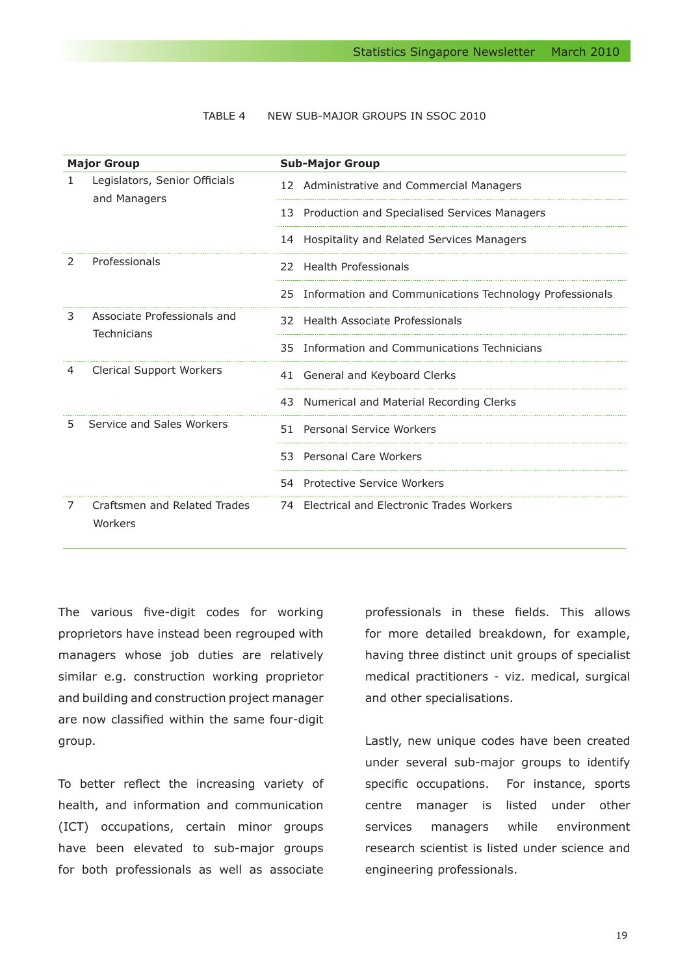#### TABLE 4 NEW SUB-MAJOR GROUPS IN SSOC 2010

| <b>Major Group</b> |                                               | <b>Sub-Major Group</b>                                     |
|--------------------|-----------------------------------------------|------------------------------------------------------------|
|                    | Legislators, Senior Officials<br>and Managers | 12 Administrative and Commercial Managers                  |
|                    |                                               | 13 Production and Specialised Services Managers            |
|                    |                                               | 14 Hospitality and Related Services Managers               |
| $\mathcal{L}$      | Professionals                                 | 22 Health Professionals                                    |
|                    |                                               | 25 Information and Communications Technology Professionals |
| 3                  | Associate Professionals and<br>Technicians    | 32 Health Associate Professionals                          |
|                    |                                               | Information and Communications Technicians<br>35.          |
| 4                  | <b>Clerical Support Workers</b>               | 41 General and Keyboard Clerks                             |
|                    |                                               | 43 Numerical and Material Recording Clerks                 |
| 5                  | Service and Sales Workers                     | Personal Service Workers<br>51.                            |
|                    |                                               | 53 Personal Care Workers                                   |
|                    |                                               | 54 Protective Service Workers                              |
| 7                  | Craftsmen and Related Trades<br>Workers       | 74 Electrical and Electronic Trades Workers                |

The various five-digit codes for working proprietors have instead been regrouped with managers whose job duties are relatively similar e.g. construction working proprietor and building and construction project manager are now classified within the same four-digit group.

To better reflect the increasing variety of health, and information and communication (ICT) occupations, certain minor groups have been elevated to sub-major groups for both professionals as well as associate

professionals in these fields. This allows for more detailed breakdown, for example, having three distinct unit groups of specialist medical practitioners - viz. medical, surgical and other specialisations.

Lastly, new unique codes have been created under several sub-major groups to identify specific occupations. For instance, sports centre manager is listed under other services managers while environment research scientist is listed under science and engineering professionals.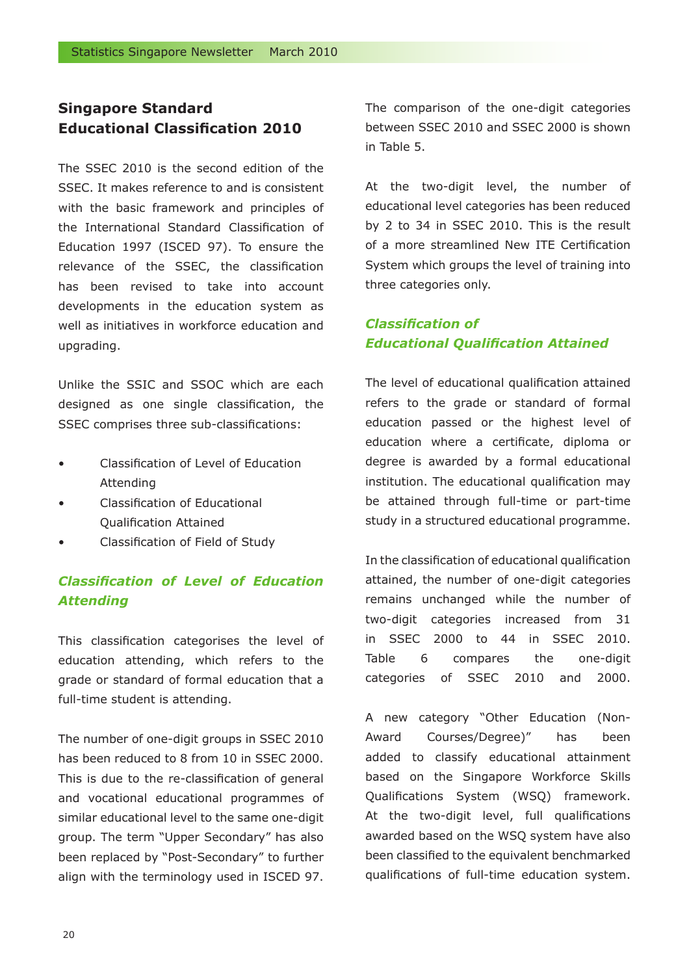# **Singapore Standard Educational Classification 2010**

The SSEC 2010 is the second edition of the SSEC. It makes reference to and is consistent with the basic framework and principles of the International Standard Classification of Education 1997 (ISCED 97). To ensure the relevance of the SSEC, the classification has been revised to take into account developments in the education system as well as initiatives in workforce education and upgrading.

Unlike the SSIC and SSOC which are each designed as one single classification, the SSEC comprises three sub-classifications:

- Classification of Level of Education Attending
- Classification of Educational Qualification Attained
- Classification of Field of Study

# *Classification of Level of Education Attending*

This classification categorises the level of education attending, which refers to the grade or standard of formal education that a full-time student is attending.

The number of one-digit groups in SSEC 2010 has been reduced to 8 from 10 in SSEC 2000. This is due to the re-classification of general and vocational educational programmes of similar educational level to the same one-digit group. The term "Upper Secondary" has also been replaced by "Post-Secondary" to further align with the terminology used in ISCED 97.

The comparison of the one-digit categories between SSEC 2010 and SSEC 2000 is shown in Table 5.

At the two-digit level, the number of educational level categories has been reduced by 2 to 34 in SSEC 2010. This is the result of a more streamlined New ITE Certification System which groups the level of training into three categories only.

# *Classification of Educational Qualification Attained*

The level of educational qualification attained refers to the grade or standard of formal education passed or the highest level of education where a certificate, diploma or degree is awarded by a formal educational institution. The educational qualification may be attained through full-time or part-time study in a structured educational programme.

In the classification of educational qualification attained, the number of one-digit categories remains unchanged while the number of two-digit categories increased from 31 in SSEC 2000 to 44 in SSEC 2010. Table 6 compares the one-digit categories of SSEC 2010 and 2000.

A new category "Other Education (Non-Award Courses/Degree)" has been added to classify educational attainment based on the Singapore Workforce Skills Qualifications System (WSQ) framework. At the two-digit level, full qualifications awarded based on the WSQ system have also been classified to the equivalent benchmarked qualifications of full-time education system.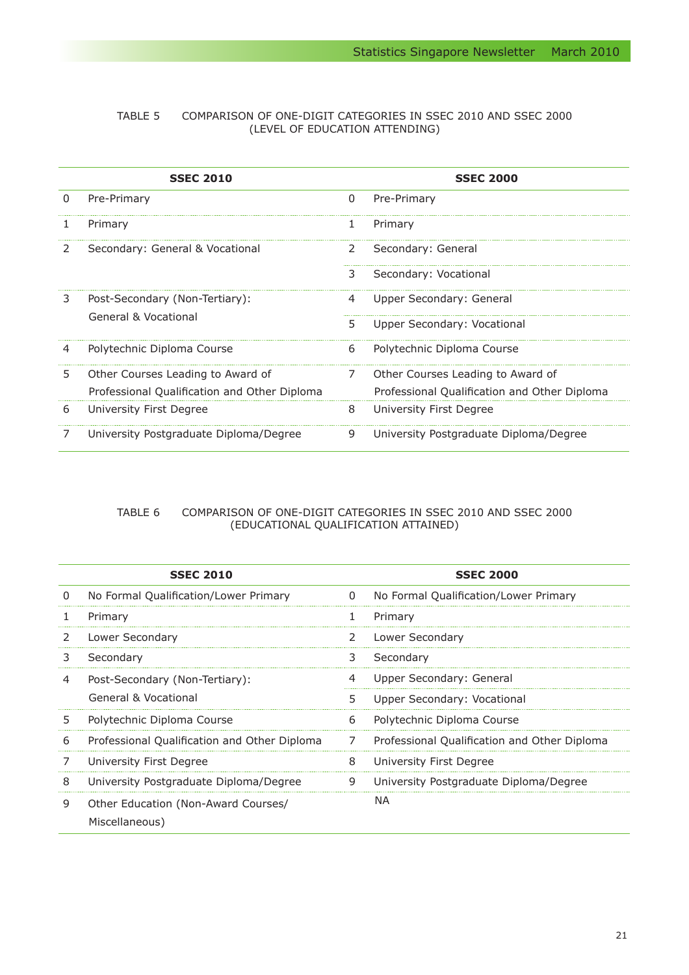#### TABLE 5 COMPARISON OF ONE-DIGIT CATEGORIES IN SSEC 2010 AND SSEC 2000 (LEVEL OF EDUCATION ATTENDING)

|   | <b>SSEC 2010</b>                             |   | <b>SSEC 2000</b>                             |
|---|----------------------------------------------|---|----------------------------------------------|
| 0 | Pre-Primary                                  | 0 | Pre-Primary                                  |
| T | Primary                                      | 1 | Primary                                      |
| 2 | Secondary: General & Vocational              | 2 | Secondary: General                           |
|   |                                              | 3 | Secondary: Vocational                        |
| 3 | Post-Secondary (Non-Tertiary):               | 4 | Upper Secondary: General                     |
|   | General & Vocational                         | 5 | Upper Secondary: Vocational                  |
| 4 | Polytechnic Diploma Course                   | 6 | Polytechnic Diploma Course                   |
| 5 | Other Courses Leading to Award of            | 7 | Other Courses Leading to Award of            |
|   | Professional Qualification and Other Diploma |   | Professional Qualification and Other Diploma |
| 6 | University First Degree                      | 8 | University First Degree                      |
|   | University Postgraduate Diploma/Degree       | 9 | University Postgraduate Diploma/Degree       |

#### TABLE 6 COMPARISON OF ONE-DIGIT CATEGORIES IN SSEC 2010 AND SSEC 2000 (EDUCATIONAL QUALIFICATION ATTAINED)

|   | <b>SSEC 2010</b>                                      |   | <b>SSEC 2000</b>                             |
|---|-------------------------------------------------------|---|----------------------------------------------|
| 0 | No Formal Qualification/Lower Primary                 | 0 | No Formal Qualification/Lower Primary        |
| 1 | Primary                                               | 1 | Primary                                      |
| 2 | Lower Secondary                                       | 2 | Lower Secondary                              |
| 3 | Secondary                                             | 3 | Secondary                                    |
| 4 | Post-Secondary (Non-Tertiary):                        | 4 | Upper Secondary: General                     |
|   | General & Vocational                                  | 5 | Upper Secondary: Vocational                  |
| 5 | Polytechnic Diploma Course                            | 6 | Polytechnic Diploma Course                   |
| 6 | Professional Qualification and Other Diploma          | 7 | Professional Qualification and Other Diploma |
|   | University First Degree                               | 8 | University First Degree                      |
| 8 | University Postgraduate Diploma/Degree                | 9 | University Postgraduate Diploma/Degree       |
| 9 | Other Education (Non-Award Courses/<br>Miscellaneous) |   | NA.                                          |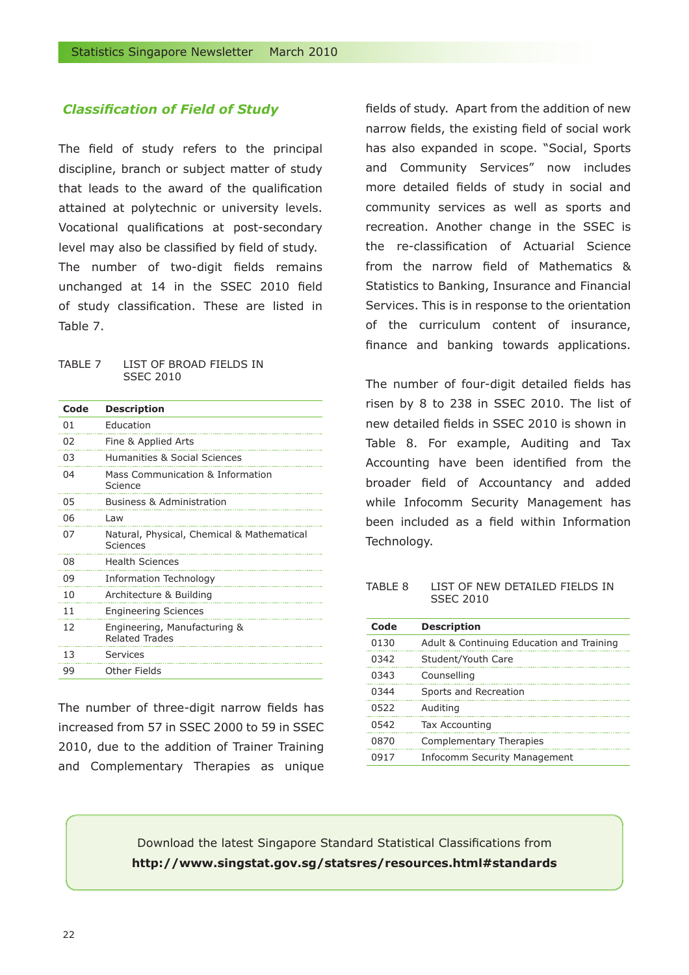#### *Classification of Field of Study*

The field of study refers to the principal discipline, branch or subject matter of study that leads to the award of the qualification attained at polytechnic or university levels. Vocational qualifications at post-secondary level may also be classified by field of study. The number of two-digit fields remains unchanged at 14 in the SSEC 2010 field of study classification. These are listed in Table 7.

#### TABLE 7 LIST OF BROAD FIELDS IN SSEC 2010

| Code | <b>Description</b>                                     |
|------|--------------------------------------------------------|
| 01   | Education                                              |
| 02   | Fine & Applied Arts                                    |
| 03   | Humanities & Social Sciences                           |
| 04   | Mass Communication & Information<br>Science            |
| 05   | <b>Business &amp; Administration</b>                   |
| 06   | l aw                                                   |
| 07   | Natural, Physical, Chemical & Mathematical<br>Sciences |
| 08   | <b>Health Sciences</b>                                 |
| 09   | Information Technology                                 |
| 10   | Architecture & Building                                |
| 11   | <b>Engineering Sciences</b>                            |
| 12   | Engineering, Manufacturing &<br><b>Related Trades</b>  |
| 13   | Services                                               |
| 99   | Other Fields                                           |

The number of three-digit narrow fields has increased from 57 in SSEC 2000 to 59 in SSEC 2010, due to the addition of Trainer Training and Complementary Therapies as unique fields of study. Apart from the addition of new narrow fields, the existing field of social work has also expanded in scope. "Social, Sports and Community Services" now includes more detailed fields of study in social and community services as well as sports and recreation. Another change in the SSEC is the re-classification of Actuarial Science from the narrow field of Mathematics & Statistics to Banking, Insurance and Financial Services. This is in response to the orientation of the curriculum content of insurance, finance and banking towards applications.

The number of four-digit detailed fields has risen by 8 to 238 in SSEC 2010. The list of new detailed fields in SSEC 2010 is shown in Table 8. For example, Auditing and Tax Accounting have been identified from the broader field of Accountancy and added while Infocomm Security Management has been included as a field within Information Technology.

#### TABLE 8 LIST OF NEW DETAILED FIELDS IN SSEC 2010

| Code | <b>Description</b>                        |
|------|-------------------------------------------|
| 0130 | Adult & Continuing Education and Training |
| 0342 | Student/Youth Care                        |
| 0343 | Counselling                               |
| 0344 | Sports and Recreation                     |
| 0522 | Auditing                                  |
| 0542 | Tax Accounting                            |
| 0870 | <b>Complementary Therapies</b>            |
| 0917 | <b>Infocomm Security Management</b>       |
|      |                                           |

Download the latest Singapore Standard Statistical Classifications from **http://www.singstat.gov.sg/statsres/resources.html#standards**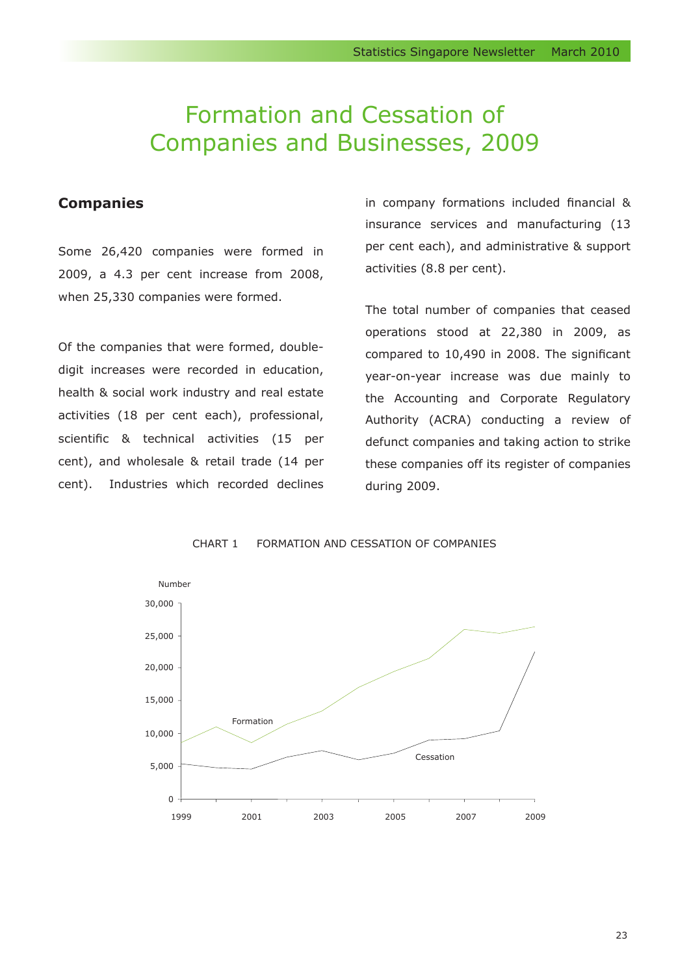# Formation and Cessation of Companies and Businesses, 2009

# **Companies**

Some 26,420 companies were formed in 2009, a 4.3 per cent increase from 2008, when 25,330 companies were formed.

Of the companies that were formed, doubledigit increases were recorded in education, health & social work industry and real estate activities (18 per cent each), professional, scientific & technical activities (15 per cent), and wholesale & retail trade (14 per cent). Industries which recorded declines in company formations included financial & insurance services and manufacturing (13 per cent each), and administrative & support activities (8.8 per cent).

The total number of companies that ceased operations stood at 22,380 in 2009, as compared to 10,490 in 2008. The significant year-on-year increase was due mainly to the Accounting and Corporate Regulatory Authority (ACRA) conducting a review of defunct companies and taking action to strike these companies off its register of companies during 2009.



CHART 1 FORMATION AND CESSATION OF COMPANIES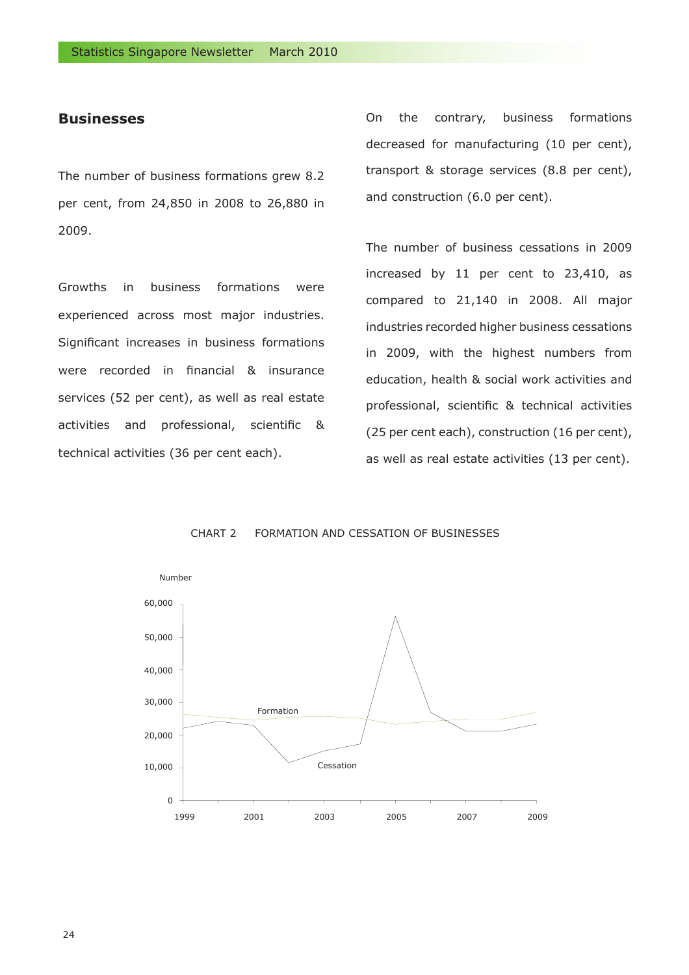#### **Businesses**

The number of business formations grew 8.2 per cent, from 24,850 in 2008 to 26,880 in 2009.

Growths in business formations were experienced across most major industries. Significant increases in business formations were recorded in financial & insurance services (52 per cent), as well as real estate activities and professional, scientific & technical activities (36 per cent each).

On the contrary, business formations decreased for manufacturing (10 per cent), transport & storage services (8.8 per cent), and construction (6.0 per cent).

The number of business cessations in 2009 increased by 11 per cent to 23,410, as compared to 21,140 in 2008. All major industries recorded higher business cessations in 2009, with the highest numbers from education, health & social work activities and professional, scientific & technical activities (25 per cent each), construction (16 per cent), as well as real estate activities (13 per cent).



CHART 2 FORMATION AND CESSATION OF BUSINESSES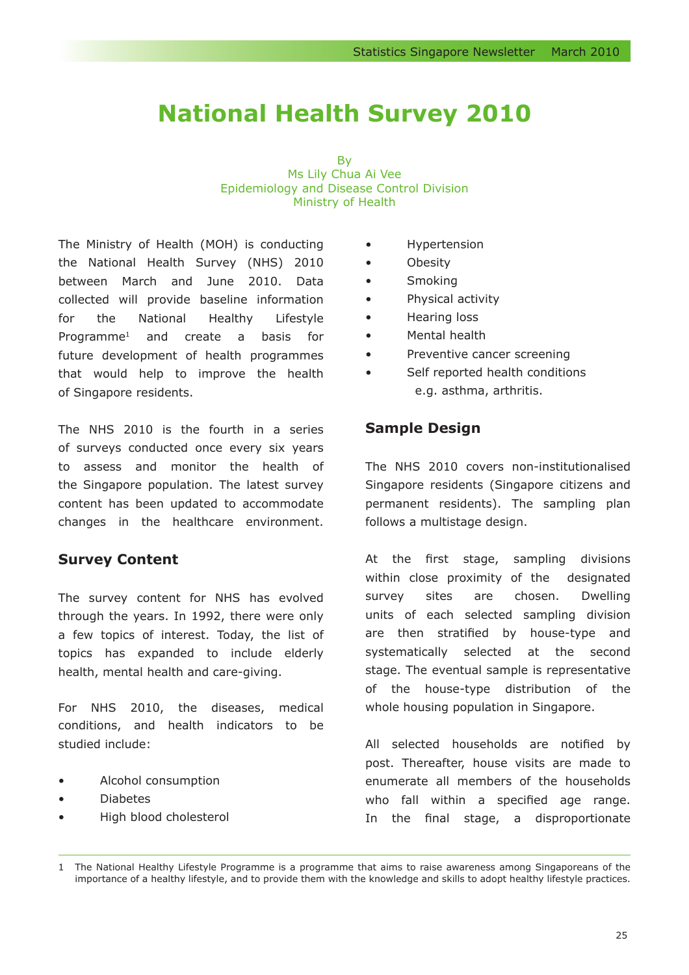# **National Health Survey 2010**

By Ms Lily Chua Ai Vee Epidemiology and Disease Control Division Ministry of Health

The Ministry of Health (MOH) is conducting the National Health Survey (NHS) 2010 between March and June 2010. Data collected will provide baseline information for the National Healthy Lifestyle Programme1 and create a basis for future development of health programmes that would help to improve the health of Singapore residents.

The NHS 2010 is the fourth in a series of surveys conducted once every six years to assess and monitor the health of the Singapore population. The latest survey content has been updated to accommodate changes in the healthcare environment.

# **Survey Content**

The survey content for NHS has evolved through the years. In 1992, there were only a few topics of interest. Today, the list of topics has expanded to include elderly health, mental health and care-giving.

For NHS 2010, the diseases, medical conditions, and health indicators to be studied include:

- Alcohol consumption
- Diabetes
- High blood cholesterol
- Hypertension
- Obesity
- Smoking
- Physical activity
- Hearing loss
- Mental health
- Preventive cancer screening
- Self reported health conditions e.g. asthma, arthritis.

# **Sample Design**

The NHS 2010 covers non-institutionalised Singapore residents (Singapore citizens and permanent residents). The sampling plan follows a multistage design.

At the first stage, sampling divisions within close proximity of the designated survey sites are chosen. Dwelling units of each selected sampling division are then stratified by house-type and systematically selected at the second stage. The eventual sample is representative of the house-type distribution of the whole housing population in Singapore.

All selected households are notified by post. Thereafter, house visits are made to enumerate all members of the households who fall within a specified age range. In the final stage, a disproportionate

1 The National Healthy Lifestyle Programme is a programme that aims to raise awareness among Singaporeans of the importance of a healthy lifestyle, and to provide them with the knowledge and skills to adopt healthy lifestyle practices.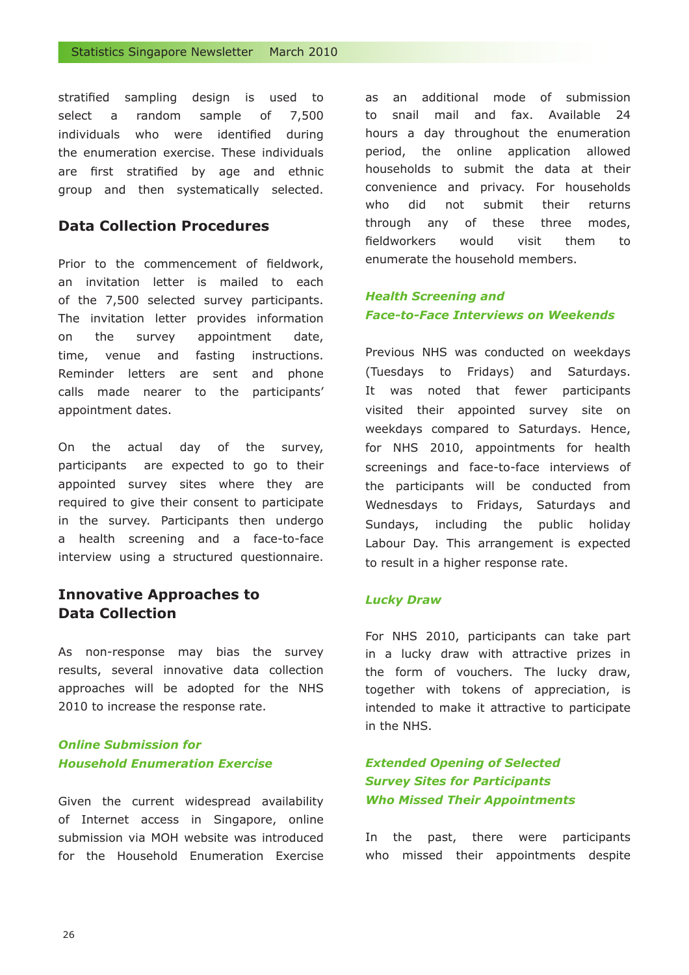stratified sampling design is used to select a random sample of 7,500 individuals who were identified during the enumeration exercise. These individuals are first stratified by age and ethnic group and then systematically selected.

# **Data Collection Procedures**

Prior to the commencement of fieldwork, an invitation letter is mailed to each of the 7,500 selected survey participants. The invitation letter provides information on the survey appointment date, time, venue and fasting instructions. Reminder letters are sent and phone calls made nearer to the participants' appointment dates.

On the actual day of the survey, participants are expected to go to their appointed survey sites where they are required to give their consent to participate in the survey. Participants then undergo a health screening and a face-to-face interview using a structured questionnaire.

# **Innovative Approaches to Data Collection**

As non-response may bias the survey results, several innovative data collection approaches will be adopted for the NHS 2010 to increase the response rate.

# *Online Submission for Household Enumeration Exercise*

Given the current widespread availability of Internet access in Singapore, online submission via MOH website was introduced for the Household Enumeration Exercise as an additional mode of submission to snail mail and fax. Available 24 hours a day throughout the enumeration period, the online application allowed households to submit the data at their convenience and privacy. For households who did not submit their returns through any of these three modes, fieldworkers would visit them to enumerate the household members.

### *Health Screening and Face-to-Face Interviews on Weekends*

Previous NHS was conducted on weekdays (Tuesdays to Fridays) and Saturdays. It was noted that fewer participants visited their appointed survey site on weekdays compared to Saturdays. Hence, for NHS 2010, appointments for health screenings and face-to-face interviews of the participants will be conducted from Wednesdays to Fridays, Saturdays and Sundays, including the public holiday Labour Day. This arrangement is expected to result in a higher response rate.

#### *Lucky Draw*

For NHS 2010, participants can take part in a lucky draw with attractive prizes in the form of vouchers. The lucky draw, together with tokens of appreciation, is intended to make it attractive to participate in the NHS.

# *Extended Opening of Selected Survey Sites for Participants Who Missed Their Appointments*

In the past, there were participants who missed their appointments despite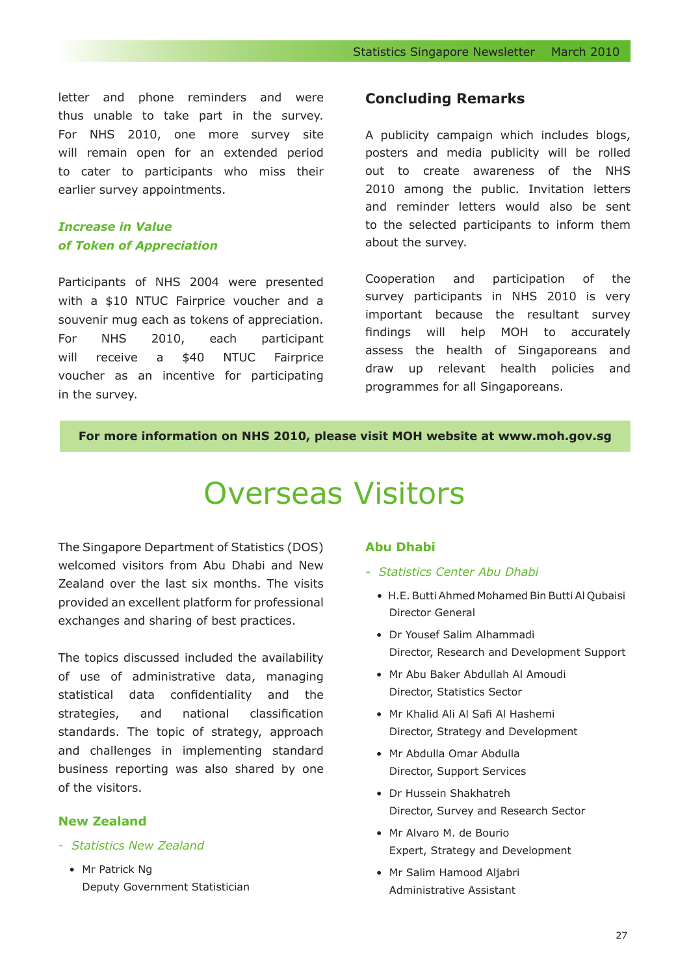letter and phone reminders and were thus unable to take part in the survey. For NHS 2010, one more survey site will remain open for an extended period to cater to participants who miss their earlier survey appointments.

# *Increase in Value of Token of Appreciation*

Participants of NHS 2004 were presented with a \$10 NTUC Fairprice voucher and a souvenir mug each as tokens of appreciation. For NHS 2010, each participant will receive a \$40 NTUC Fairprice voucher as an incentive for participating in the survey.

#### **Concluding Remarks**

A publicity campaign which includes blogs, posters and media publicity will be rolled out to create awareness of the NHS 2010 among the public. Invitation letters and reminder letters would also be sent to the selected participants to inform them about the survey.

Cooperation and participation of the survey participants in NHS 2010 is very important because the resultant survey findings will help MOH to accurately assess the health of Singaporeans and draw up relevant health policies and programmes for all Singaporeans.

#### **For more information on NHS 2010, please visit MOH website at www.moh.gov.sg**

# Overseas Visitors

The Singapore Department of Statistics (DOS) welcomed visitors from Abu Dhabi and New Zealand over the last six months. The visits provided an excellent platform for professional exchanges and sharing of best practices.

The topics discussed included the availability of use of administrative data, managing statistical data confidentiality and the strategies, and national classification standards. The topic of strategy, approach and challenges in implementing standard business reporting was also shared by one of the visitors.

#### **New Zealand**

- *Statistics New Zealand*
	- Mr Patrick Ng Deputy Government Statistician

#### **Abu Dhabi**

- *Statistics Center Abu Dhabi*
	- H.E. Butti Ahmed Mohamed Bin Butti Al Qubaisi Director General
	- Dr Yousef Salim Alhammadi Director, Research and Development Support
	- Mr Abu Baker Abdullah Al Amoudi Director, Statistics Sector
	- Mr Khalid Ali Al Safi Al Hashemi Director, Strategy and Development
	- Mr Abdulla Omar Abdulla Director, Support Services
	- Dr Hussein Shakhatreh Director, Survey and Research Sector
	- Mr Alvaro M. de Bourio Expert, Strategy and Development
	- Mr Salim Hamood Aljabri Administrative Assistant